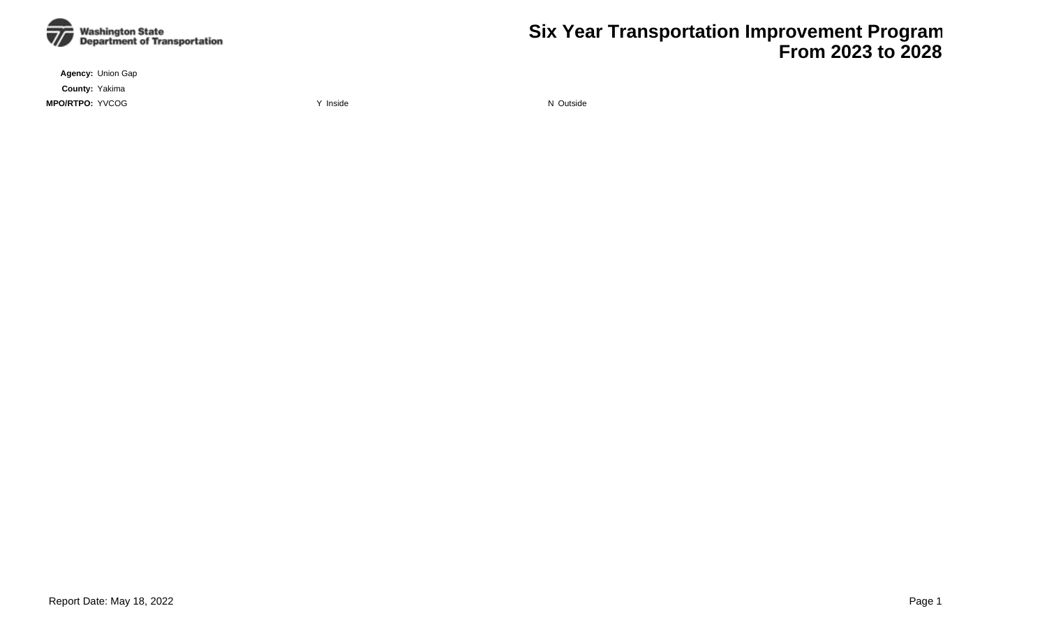

**Agency:** Union Gap

**County:** Yakima

**MPO/RTPO:** YVCOG **WAS ARRESTED FOR A STATE OF A STATE OF A STATE OF A STATE OF A VIOLENCE OF A STATE OF A VIOLENCE OF A VIOLENCE OF A VIOLENCE OF A VIOLENCE OF A VIOLENCE OF A VIOLENCE OF A VIOLENCE OF A VIOLENCE OF A VIO** 

**Six Year Transportation Improvement Program From 2023 to 2028**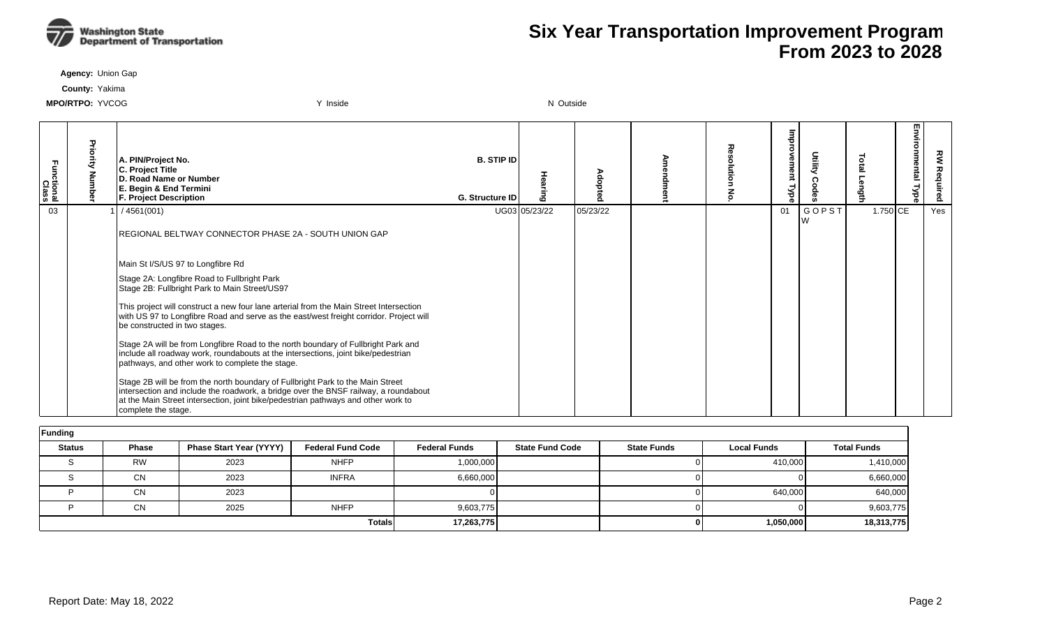

**Agency:** Union Gap

**County:** Yakima

| Functional<br>Class | Priority<br>Numb | A. PIN/Project No.<br>C. Project Title<br><b>ID. Road Name or Number</b><br><b>E. Begin &amp; End Termini</b><br><b>F. Project Description</b>                                                                                                                                    | <b>B. STIP IDI</b><br>G. Structure ID |               | vdopte<br>$\bullet$ | Resolution<br>종 | цщрт<br>ovement<br>⊥<br>ब्रह | Utility | <b>Dial</b><br>ه | Environmental<br><b>Type</b> | 킿<br>Req |
|---------------------|------------------|-----------------------------------------------------------------------------------------------------------------------------------------------------------------------------------------------------------------------------------------------------------------------------------|---------------------------------------|---------------|---------------------|-----------------|------------------------------|---------|------------------|------------------------------|----------|
| 03                  |                  | /4561(001)                                                                                                                                                                                                                                                                        |                                       | UG03 05/23/22 | 05/23/22            |                 | 01                           | GOPST   | 1.750 CE         |                              | Yes      |
|                     |                  | REGIONAL BELTWAY CONNECTOR PHASE 2A - SOUTH UNION GAP                                                                                                                                                                                                                             |                                       |               |                     |                 |                              |         |                  |                              |          |
|                     |                  | Main St I/S/US 97 to Longfibre Rd                                                                                                                                                                                                                                                 |                                       |               |                     |                 |                              |         |                  |                              |          |
|                     |                  | Stage 2A: Longfibre Road to Fullbright Park<br>Stage 2B: Fullbright Park to Main Street/US97                                                                                                                                                                                      |                                       |               |                     |                 |                              |         |                  |                              |          |
|                     |                  | This project will construct a new four lane arterial from the Main Street Intersection<br>with US 97 to Longfibre Road and serve as the east/west freight corridor. Project will<br>be constructed in two stages.                                                                 |                                       |               |                     |                 |                              |         |                  |                              |          |
|                     |                  | Stage 2A will be from Longfibre Road to the north boundary of Fullbright Park and<br>include all roadway work, roundabouts at the intersections, joint bike/pedestrian<br>pathways, and other work to complete the stage.                                                         |                                       |               |                     |                 |                              |         |                  |                              |          |
|                     |                  | Stage 2B will be from the north boundary of Fullbright Park to the Main Street<br>intersection and include the roadwork, a bridge over the BNSF railway, a roundabout<br>at the Main Street intersection, joint bike/pedestrian pathways and other work to<br>complete the stage. |                                       |               |                     |                 |                              |         |                  |                              |          |

| Funding       |              |                                |                          |                      |                        |                    |                    |                    |  |  |  |  |  |
|---------------|--------------|--------------------------------|--------------------------|----------------------|------------------------|--------------------|--------------------|--------------------|--|--|--|--|--|
| <b>Status</b> | <b>Phase</b> | <b>Phase Start Year (YYYY)</b> | <b>Federal Fund Code</b> | <b>Federal Funds</b> | <b>State Fund Code</b> | <b>State Funds</b> | <b>Local Funds</b> | <b>Total Funds</b> |  |  |  |  |  |
|               | <b>RW</b>    | 2023                           | <b>NHFP</b>              | 1,000,000            |                        |                    | 410,000            | 1,410,000          |  |  |  |  |  |
|               | <b>CN</b>    | 2023                           | <b>INFRA</b>             | 6,660,000            |                        |                    |                    | 6,660,000          |  |  |  |  |  |
|               | <b>CN</b>    | 2023                           |                          |                      |                        |                    | 640,000            | 640,000            |  |  |  |  |  |
|               | <b>CN</b>    | 2025                           | <b>NHFP</b>              | 9,603,775            |                        |                    |                    | 9,603,775          |  |  |  |  |  |
|               |              |                                | <b>Totals</b>            | 17,263,775           |                        | 01                 | 1,050,000          | 18,313,775         |  |  |  |  |  |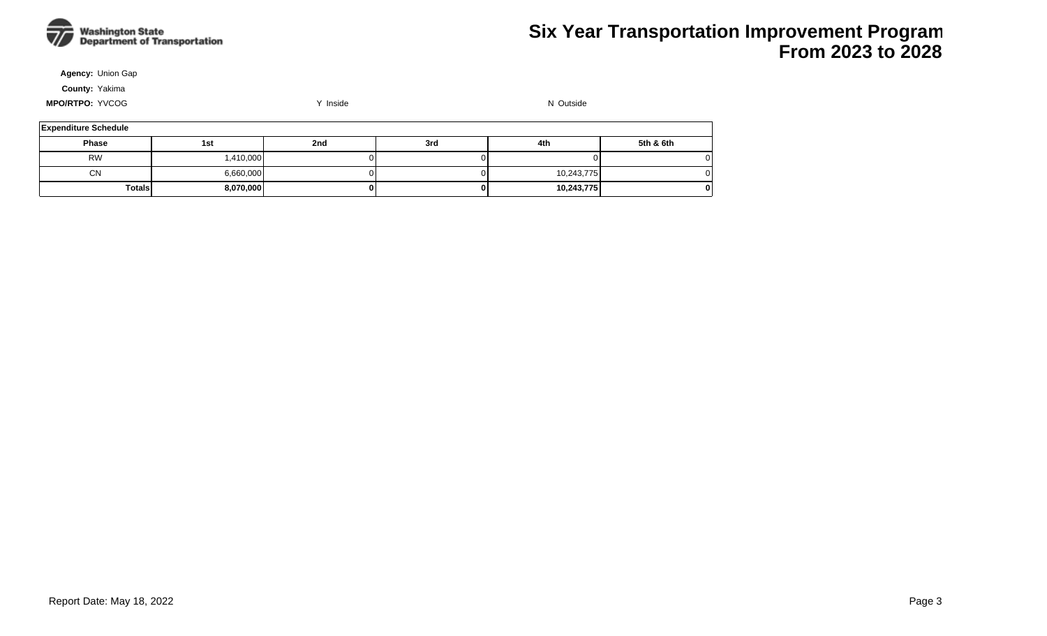

**Agency:** Union Gap

**County:** Yakima

| <b>Expenditure Schedule</b> |           |     |     |            |              |  |  |  |  |  |  |  |
|-----------------------------|-----------|-----|-----|------------|--------------|--|--|--|--|--|--|--|
| <b>Phase</b>                | 1st       | 2nd | 3rd | 4th        | 5th & 6th    |  |  |  |  |  |  |  |
| <b>RW</b>                   | 1,410,000 |     |     |            | 01           |  |  |  |  |  |  |  |
| <b>CN</b>                   | 6,660,000 |     |     | 10,243,775 | 0            |  |  |  |  |  |  |  |
| <b>Totals</b>               | 8,070,000 |     | 01  | 10,243,775 | $\mathbf{0}$ |  |  |  |  |  |  |  |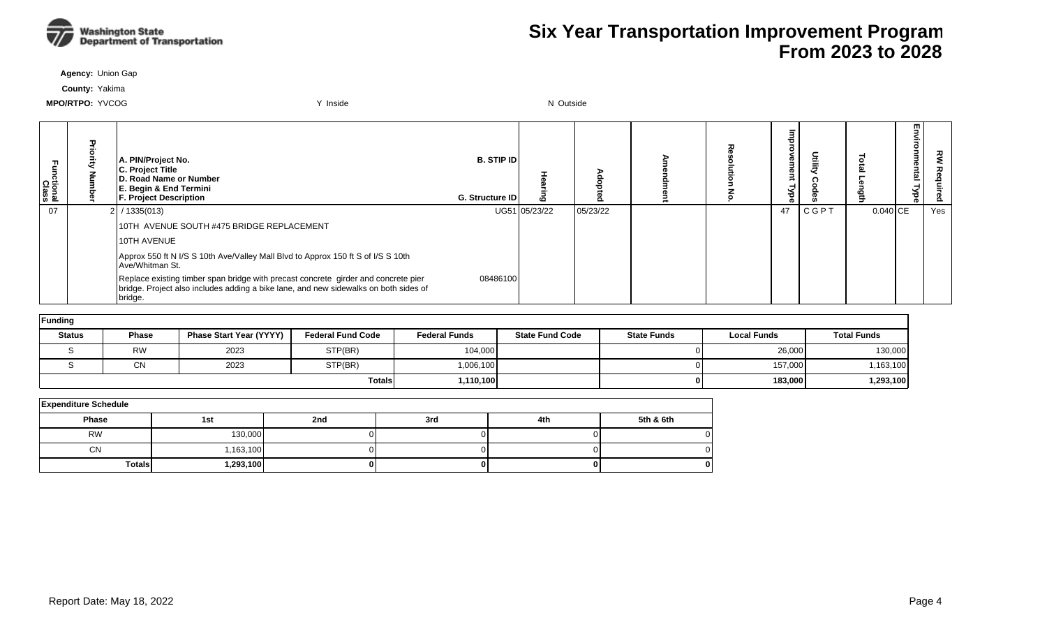

**Agency:** Union Gap

**County:** Yakima

**MPO/RTPO:** YVCOG **WEDISH AND A CONSTRUCT A CONSTRUCT A CONSTRUCT VIOLENCE ASSOCIATED: YVCOG N Outside** 

| -<br>Functional<br>Class | A. PIN/Project No.<br>C. Project Title<br>D. Road Name or Number<br>E. Begin & End Termini<br><b>F. Project Description</b>                                                           | <b>B. STIP IDI</b><br><b>G. Structure IDI</b> |               |          |  | നാ<br>ਠ |      |            | 핗<br>nmental<br><b>Npe</b> | 깋   |
|--------------------------|---------------------------------------------------------------------------------------------------------------------------------------------------------------------------------------|-----------------------------------------------|---------------|----------|--|---------|------|------------|----------------------------|-----|
| 07                       | $2$ / 1335(013)                                                                                                                                                                       |                                               | UG51 05/23/22 | 05/23/22 |  | 47      | CGPT | $0.040$ CE |                            | Yes |
|                          | 10TH AVENUE SOUTH #475 BRIDGE REPLACEMENT                                                                                                                                             |                                               |               |          |  |         |      |            |                            |     |
|                          | 10TH AVENUE                                                                                                                                                                           |                                               |               |          |  |         |      |            |                            |     |
|                          | Approx 550 ft N I/S S 10th Ave/Valley Mall Blvd to Approx 150 ft S of I/S S 10th<br>Ave/Whitman St.                                                                                   |                                               |               |          |  |         |      |            |                            |     |
|                          | Replace existing timber span bridge with precast concrete girder and concrete pier<br>bridge. Project also includes adding a bike lane, and new sidewalks on both sides of<br>bridge. | 08486100                                      |               |          |  |         |      |            |                            |     |

| Funding       |              |                                |                          |                      |                        |                    |                    |                    |  |  |  |  |  |
|---------------|--------------|--------------------------------|--------------------------|----------------------|------------------------|--------------------|--------------------|--------------------|--|--|--|--|--|
| <b>Status</b> | <b>Phase</b> | <b>Phase Start Year (YYYY)</b> | <b>Federal Fund Code</b> | <b>Federal Funds</b> | <b>State Fund Code</b> | <b>State Funds</b> | <b>Local Funds</b> | <b>Total Funds</b> |  |  |  |  |  |
|               | <b>RW</b>    | 2023                           | STP(BR)                  | 104,000              |                        |                    | 26,000             | 130,000            |  |  |  |  |  |
|               | <b>CN</b>    | 2023                           | STP(BR)                  | 1,006,100            |                        |                    | 157,000            | ,163,100           |  |  |  |  |  |
|               |              |                                | <b>Totals</b>            | 1,110,100            |                        |                    | 183,000            | ,293,100           |  |  |  |  |  |

| <b>Expenditure Schedule</b> |           |     |     |     |           |  |  |  |  |  |  |  |  |
|-----------------------------|-----------|-----|-----|-----|-----------|--|--|--|--|--|--|--|--|
| Phase                       | 1st       | 2nd | 3rd | 4th | 5th & 6th |  |  |  |  |  |  |  |  |
| <b>RW</b>                   | 130,000   |     |     |     |           |  |  |  |  |  |  |  |  |
| <b>CN</b>                   | 1,163,100 |     |     |     |           |  |  |  |  |  |  |  |  |
| <b>Totals</b>               | 1,293,100 |     | 01  |     |           |  |  |  |  |  |  |  |  |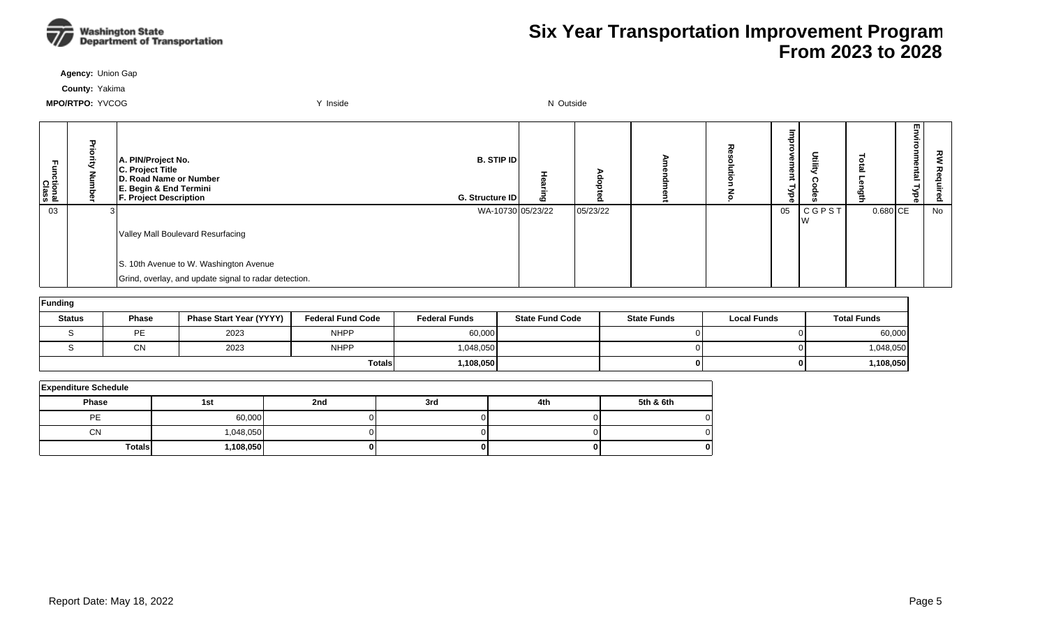

**Agency:** Union Gap

**County:** Yakima

| Ę<br>ctional<br>Class | τ | A. PIN/Project No.<br>C. Project Title<br>D. Road Name or Number<br>E. Begin & End Termini<br><b>F. Project Description</b> | <b>B. STIP IDI</b><br>G. Structure ID | Ō | o        | ᅎ | നാ.<br>з<br>®U<br>$\bar{ }$<br>≺<br>78ैं । | Utilit)      |            | m<br>Φ<br>ē | 짖<br>စိ |
|-----------------------|---|-----------------------------------------------------------------------------------------------------------------------------|---------------------------------------|---|----------|---|--------------------------------------------|--------------|------------|-------------|---------|
| 03                    |   |                                                                                                                             | WA-10730 05/23/22                     |   | 05/23/22 |   | 05                                         | <b>CGPST</b> | $0.680$ CE |             | No      |
|                       |   | Valley Mall Boulevard Resurfacing                                                                                           |                                       |   |          |   |                                            | v v          |            |             |         |
|                       |   | S. 10th Avenue to W. Washington Avenue                                                                                      |                                       |   |          |   |                                            |              |            |             |         |
|                       |   | Grind, overlay, and update signal to radar detection.                                                                       |                                       |   |          |   |                                            |              |            |             |         |

| Funding       |              |                         |                          |                      |                        |                    |                    |                    |
|---------------|--------------|-------------------------|--------------------------|----------------------|------------------------|--------------------|--------------------|--------------------|
| <b>Status</b> | <b>Phase</b> | Phase Start Year (YYYY) | <b>Federal Fund Code</b> | <b>Federal Funds</b> | <b>State Fund Code</b> | <b>State Funds</b> | <b>Local Funds</b> | <b>Total Funds</b> |
|               | <b>DE</b>    | 2023                    | <b>NHPP</b>              | 60,000               |                        |                    | ΩL                 | 60,000             |
|               | ΩN<br>◡ᡰ     | 2023                    | <b>NHPP</b>              | 1,048,050            |                        |                    | ΩL                 | 1,048,050          |
|               |              |                         | <b>Totals</b>            | 1,108,050            |                        |                    | 01                 | 108,050,           |

| <b>Expenditure Schedule</b> |           |     |     |     |           |  |  |  |  |  |  |  |
|-----------------------------|-----------|-----|-----|-----|-----------|--|--|--|--|--|--|--|
| <b>Phase</b>                | 1st       | 2nd | 3rd | 4th | 5th & 6th |  |  |  |  |  |  |  |
| PE                          | 60,000    |     |     |     |           |  |  |  |  |  |  |  |
| <b>CN</b>                   | 1,048,050 |     |     |     |           |  |  |  |  |  |  |  |
| <b>Totals</b>               | 1,108,050 |     |     |     | o         |  |  |  |  |  |  |  |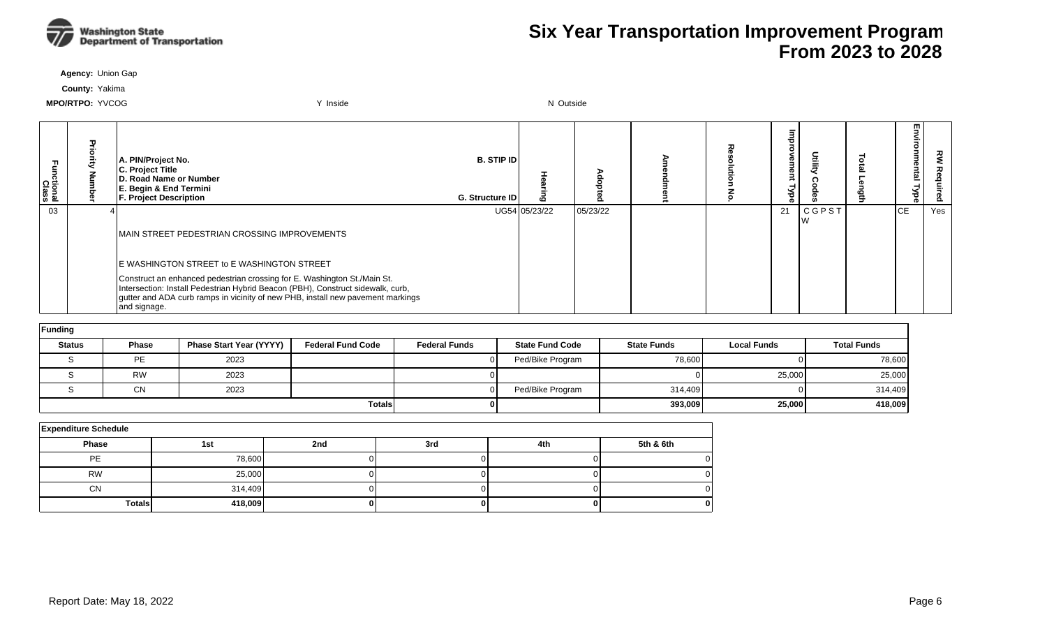

**Agency:** Union Gap

**County:** Yakima

| Functional<br>Class | A. PIN/Project No.<br>C. Project Title<br>D. Road Name or Number<br>E. Begin & End Termini<br><b>F. Project Description</b>                                                                                                                                    | <b>B. STIP ID</b><br>G. Structure ID | 6             |          |  |    |                    | Γ'n<br>≨.<br>onmental<br>Type | 깋   |
|---------------------|----------------------------------------------------------------------------------------------------------------------------------------------------------------------------------------------------------------------------------------------------------------|--------------------------------------|---------------|----------|--|----|--------------------|-------------------------------|-----|
| 03                  |                                                                                                                                                                                                                                                                |                                      | UG54 05/23/22 | 05/23/22 |  | 21 | <b>CGPST</b><br>lW | ICE.                          | Yes |
|                     | MAIN STREET PEDESTRIAN CROSSING IMPROVEMENTS                                                                                                                                                                                                                   |                                      |               |          |  |    |                    |                               |     |
|                     | E WASHINGTON STREET to E WASHINGTON STREET                                                                                                                                                                                                                     |                                      |               |          |  |    |                    |                               |     |
|                     | Construct an enhanced pedestrian crossing for E. Washington St./Main St.<br>Intersection: Install Pedestrian Hybrid Beacon (PBH), Construct sidewalk, curb,<br>gutter and ADA curb ramps in vicinity of new PHB, install new pavement markings<br>and signage. |                                      |               |          |  |    |                    |                               |     |

| <b>Funding</b> |              |                                |                          |                      |                        |                    |                    |                    |  |  |  |  |  |
|----------------|--------------|--------------------------------|--------------------------|----------------------|------------------------|--------------------|--------------------|--------------------|--|--|--|--|--|
| <b>Status</b>  | <b>Phase</b> | <b>Phase Start Year (YYYY)</b> | <b>Federal Fund Code</b> | <b>Federal Funds</b> | <b>State Fund Code</b> | <b>State Funds</b> | <b>Local Funds</b> | <b>Total Funds</b> |  |  |  |  |  |
|                | <b>PE</b>    | 2023                           |                          |                      | Ped/Bike Program       | 78,600             |                    | 78,600             |  |  |  |  |  |
|                | <b>RW</b>    | 2023                           |                          |                      |                        |                    | 25,000             | 25,000             |  |  |  |  |  |
|                | <b>CN</b>    | 2023                           |                          |                      | Ped/Bike Program       | 314.409            |                    | 314,409            |  |  |  |  |  |
|                |              |                                | <b>Totals</b>            |                      |                        | 393,009            | 25,000             | 418,009            |  |  |  |  |  |

| <b>Expenditure Schedule</b> |         |     |     |     |           |  |  |  |  |  |  |  |
|-----------------------------|---------|-----|-----|-----|-----------|--|--|--|--|--|--|--|
| Phase                       | 1st     | 2nd | 3rd | 4th | 5th & 6th |  |  |  |  |  |  |  |
| <b>PE</b>                   | 78,600  |     |     |     |           |  |  |  |  |  |  |  |
| <b>RW</b>                   | 25,000  |     |     |     |           |  |  |  |  |  |  |  |
| <b>CN</b>                   | 314,409 |     |     |     |           |  |  |  |  |  |  |  |
| <b>Totals</b>               | 418,009 |     |     |     |           |  |  |  |  |  |  |  |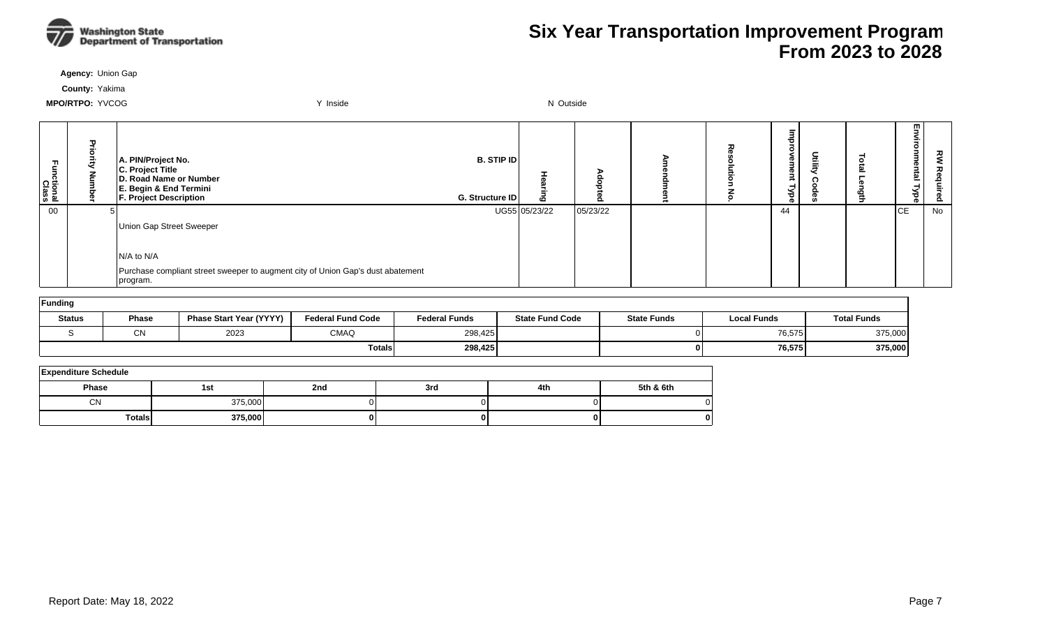

**Agency:** Union Gap

**County:** Yakima

| Ę<br><b>Cional</b><br>Class | A. PIN/Project No.<br>C. Project Title<br>D. Road Name or Number<br>E. Begin & End Termini<br><b>F. Project Description</b> | <b>B. STIP IDI</b><br>G. Structure ID | ιō            |          | ᆽ | Œ<br>ന<br>≨ | Ē | ± | ᇚ<br>onn<br>E<br>nental<br>F<br>ड़ | ξ<br>る<br>은<br>ဥ |
|-----------------------------|-----------------------------------------------------------------------------------------------------------------------------|---------------------------------------|---------------|----------|---|-------------|---|---|------------------------------------|------------------|
| 00                          |                                                                                                                             |                                       | UG55 05/23/22 | 05/23/22 |   | 44          |   |   | <b>CE</b>                          | No               |
|                             | Union Gap Street Sweeper                                                                                                    |                                       |               |          |   |             |   |   |                                    |                  |
|                             |                                                                                                                             |                                       |               |          |   |             |   |   |                                    |                  |
|                             | N/A to N/A                                                                                                                  |                                       |               |          |   |             |   |   |                                    |                  |
|                             | Purchase compliant street sweeper to augment city of Union Gap's dust abatement<br>program.                                 |                                       |               |          |   |             |   |   |                                    |                  |

| Funding       |              |                                |                          |                      |                        |                    |                    |                    |  |  |  |  |  |
|---------------|--------------|--------------------------------|--------------------------|----------------------|------------------------|--------------------|--------------------|--------------------|--|--|--|--|--|
| <b>Status</b> | Phase        | <b>Phase Start Year (YYYY)</b> | <b>Federal Fund Code</b> | <b>Federal Funds</b> | <b>State Fund Code</b> | <b>State Funds</b> | <b>Local Funds</b> | <b>Total Funds</b> |  |  |  |  |  |
|               | $\sim$<br>UΝ | 2023                           | <b>CMAQ</b>              | 298,425              |                        |                    | 76,575             | 375,000            |  |  |  |  |  |
|               |              |                                | <b>Totals</b>            | 298,425              |                        |                    | 76,575             | 375,000            |  |  |  |  |  |

| <b>Expenditure Schedule</b> |         |     |     |     |           |  |  |  |  |  |  |
|-----------------------------|---------|-----|-----|-----|-----------|--|--|--|--|--|--|
| <b>Phase</b>                | 1st     | 2nd | 3rd | 4th | 5th & 6th |  |  |  |  |  |  |
| CN                          | 375,000 |     |     |     |           |  |  |  |  |  |  |
| <b>Totals</b>               | 375,000 | o   |     |     | 0         |  |  |  |  |  |  |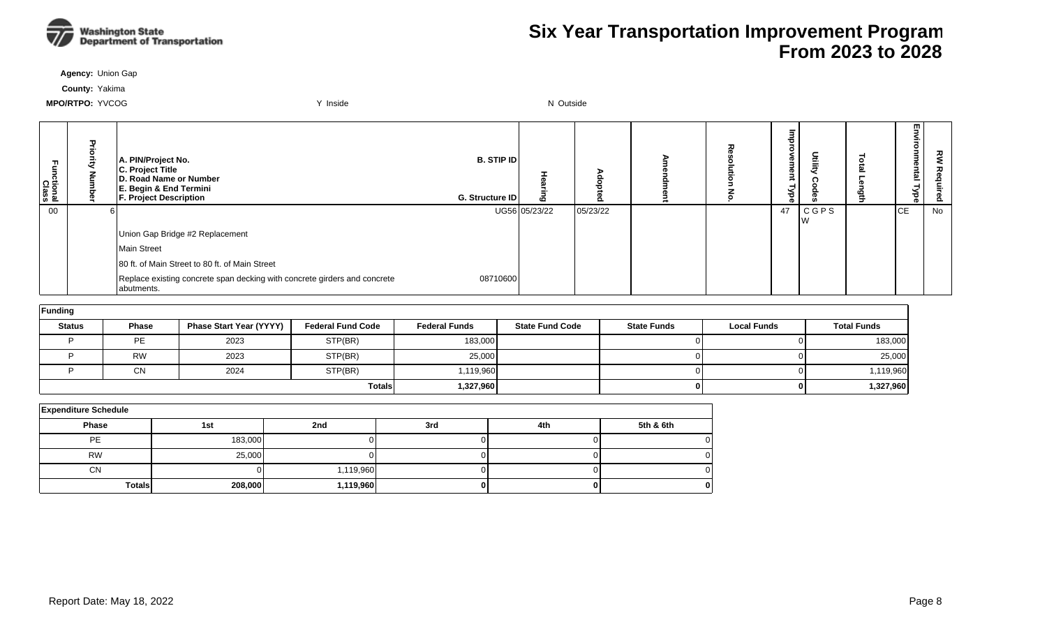

**Agency:** Union Gap

**County:** Yakima

| m<br>ctional<br>Class | ᠊ᠣ<br>콩<br>ē<br>Š | A. PIN/Project No.<br>C. Project Title<br>D. Road Name or Number<br>E. Begin & End Termini<br><b>F. Project Description</b> | <b>B. STIP ID</b><br>G. Structure ID | $\boldsymbol{\omega}$ | o        | ᅎ | Ø<br>Ê<br>g<br>≖<br>λь | Utility           | Ľ.<br>Imental<br>ξł<br>Ō. | ᇰ<br>௨ |
|-----------------------|-------------------|-----------------------------------------------------------------------------------------------------------------------------|--------------------------------------|-----------------------|----------|---|------------------------|-------------------|---------------------------|--------|
| 00                    |                   |                                                                                                                             |                                      | UG56 05/23/22         | 05/23/22 |   | 47                     | <b>CGPS</b><br>Iw | <b>ICE</b>                | No.    |
|                       |                   | Union Gap Bridge #2 Replacement                                                                                             |                                      |                       |          |   |                        |                   |                           |        |
|                       |                   | Main Street                                                                                                                 |                                      |                       |          |   |                        |                   |                           |        |
|                       |                   | 80 ft. of Main Street to 80 ft. of Main Street                                                                              |                                      |                       |          |   |                        |                   |                           |        |
|                       |                   | Replace existing concrete span decking with concrete girders and concrete<br>abutments.                                     | 08710600                             |                       |          |   |                        |                   |                           |        |

| Funding       |              |                         |                          |                      |                        |                    |                    |                    |  |  |  |  |  |
|---------------|--------------|-------------------------|--------------------------|----------------------|------------------------|--------------------|--------------------|--------------------|--|--|--|--|--|
| <b>Status</b> | <b>Phase</b> | Phase Start Year (YYYY) | <b>Federal Fund Code</b> | <b>Federal Funds</b> | <b>State Fund Code</b> | <b>State Funds</b> | <b>Local Funds</b> | <b>Total Funds</b> |  |  |  |  |  |
|               | <b>PE</b>    | 2023                    | STP(BR)                  | 183,000              |                        |                    |                    | 183,000            |  |  |  |  |  |
|               | <b>RW</b>    | 2023                    | STP(BR)                  | 25,000               |                        | 01                 |                    | 25,000             |  |  |  |  |  |
|               | <b>CN</b>    | 2024                    | STP(BR)                  | 1,119,960            |                        |                    |                    | 1,119,960          |  |  |  |  |  |
|               |              |                         | <b>Totals</b>            | 1,327,960            |                        | 01                 | 0 I                | 1,327,960          |  |  |  |  |  |

| <b>Expenditure Schedule</b> |         |           |  |  |  |  |  |  |  |  |  |
|-----------------------------|---------|-----------|--|--|--|--|--|--|--|--|--|
| Phase                       | 4th     | 5th & 6th |  |  |  |  |  |  |  |  |  |
| PE                          | 183,000 |           |  |  |  |  |  |  |  |  |  |
| <b>RW</b>                   | 25,000  |           |  |  |  |  |  |  |  |  |  |
| <b>CN</b>                   |         | 1,119,960 |  |  |  |  |  |  |  |  |  |
| <b>Totals</b>               | 208,000 | 1,119,960 |  |  |  |  |  |  |  |  |  |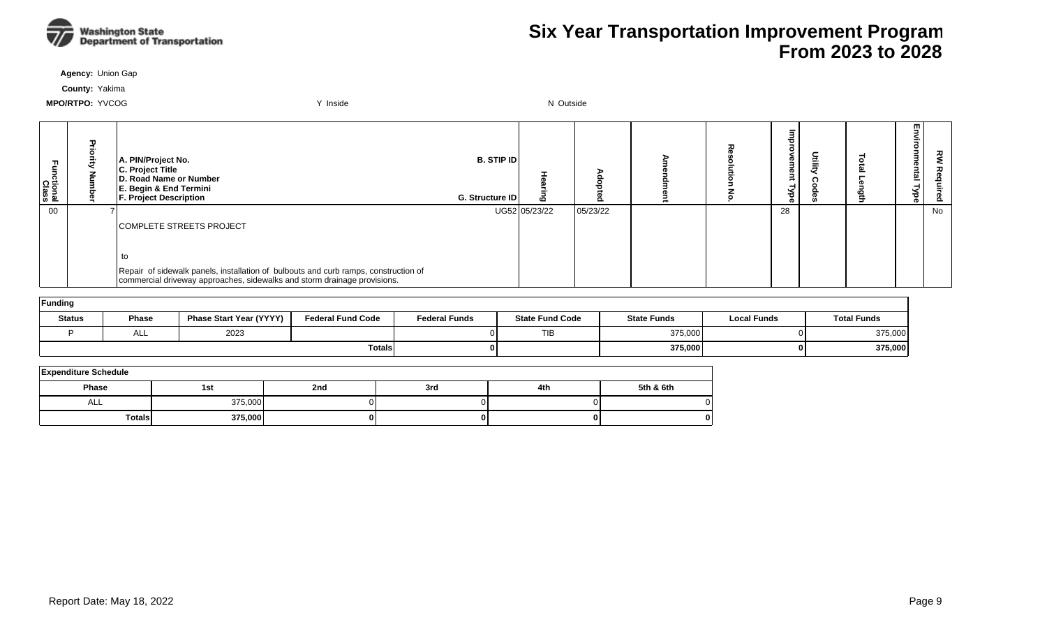

**Agency:** Union Gap

**County:** Yakima

| Ę<br>ctional<br>Class | A. PIN/Project No.<br>C. Project Title<br>D. Road Name or Number<br>E. Begin & End Termini<br><b>F. Project Description</b>                                     | <b>B. STIP IDI</b><br><b>G. Structure IDI</b> | $\mathbf{c}$  |          |  | Œ<br>œ<br>ಕ | Ē | m<br>,<br>nental<br>₹<br>ਠ<br>ō | ਟ੍ਰੋ<br>စ္တိ |
|-----------------------|-----------------------------------------------------------------------------------------------------------------------------------------------------------------|-----------------------------------------------|---------------|----------|--|-------------|---|---------------------------------|--------------|
| 00                    |                                                                                                                                                                 |                                               | UG52 05/23/22 | 05/23/22 |  | 28          |   |                                 | No           |
|                       | ICOMPLETE STREETS PROJECT                                                                                                                                       |                                               |               |          |  |             |   |                                 |              |
|                       |                                                                                                                                                                 |                                               |               |          |  |             |   |                                 |              |
|                       | to                                                                                                                                                              |                                               |               |          |  |             |   |                                 |              |
|                       | Repair of sidewalk panels, installation of bulbouts and curb ramps, construction of<br>commercial driveway approaches, sidewalks and storm drainage provisions. |                                               |               |          |  |             |   |                                 |              |

| Funding       |              |                                |                          |                      |                        |                    |                    |                    |  |  |  |  |  |
|---------------|--------------|--------------------------------|--------------------------|----------------------|------------------------|--------------------|--------------------|--------------------|--|--|--|--|--|
| <b>Status</b> | <b>Phase</b> | <b>Phase Start Year (YYYY)</b> | <b>Federal Fund Code</b> | <b>Federal Funds</b> | <b>State Fund Code</b> | <b>State Funds</b> | <b>Local Funds</b> | <b>Total Funds</b> |  |  |  |  |  |
|               | $\sim$<br>── | 2023                           |                          |                      | <b>TIB</b>             | 375,000            |                    | 375,000            |  |  |  |  |  |
|               |              |                                | <b>Totals</b>            |                      |                        | 375,000            | 0 I                | 375,000            |  |  |  |  |  |

| <b>Expenditure Schedule</b> |         |     |     |     |           |  |  |  |  |  |  |  |
|-----------------------------|---------|-----|-----|-----|-----------|--|--|--|--|--|--|--|
| <b>Phase</b>                | 1st     | 2nd | 3rd | 4th | 5th & 6th |  |  |  |  |  |  |  |
| ALL                         | 375,000 |     |     |     |           |  |  |  |  |  |  |  |
| TotalsI                     | 375,000 | 01  | o   |     |           |  |  |  |  |  |  |  |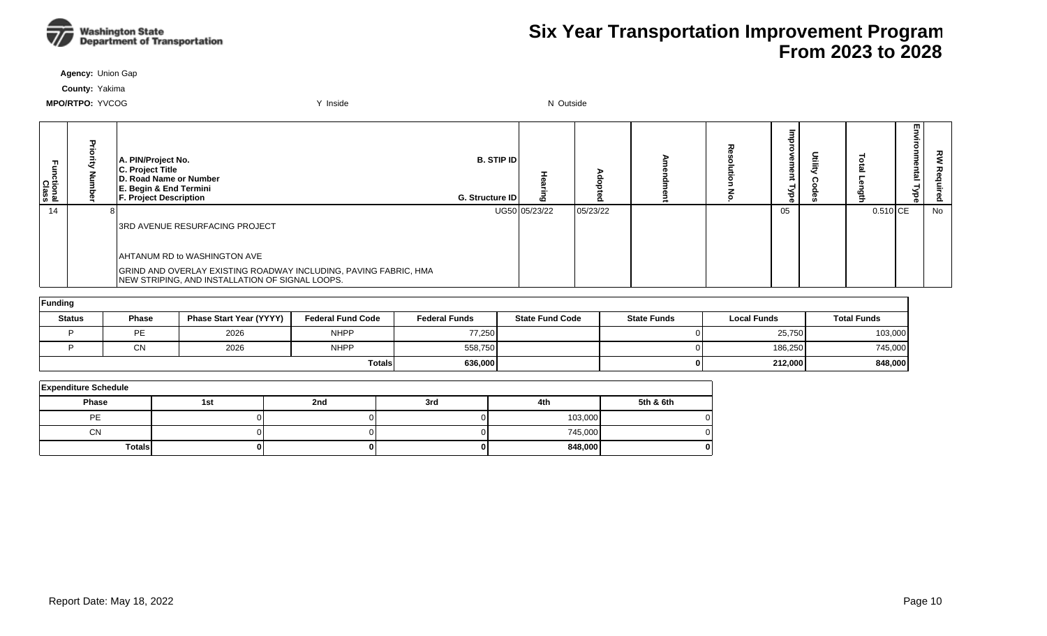

**Agency:** Union Gap

**County:** Yakima

| ctional<br>Class | ᠊ᠣ | A. PIN/Project No.<br>C. Project Title<br>D. Road Name or Number<br>E. Begin & End Termini<br><b>F. Project Description</b> | <b>B. STIP IDI</b><br><b>G. Structure IDI</b> |               |          |  | መ<br>70 |          | 효 | ਟ੍ਰੋ<br>௨ |
|------------------|----|-----------------------------------------------------------------------------------------------------------------------------|-----------------------------------------------|---------------|----------|--|---------|----------|---|-----------|
| 14               |    |                                                                                                                             |                                               | UG50 05/23/22 | 05/23/22 |  | 05      | 0.510 CE |   | No        |
|                  |    | <b>3RD AVENUE RESURFACING PROJECT</b>                                                                                       |                                               |               |          |  |         |          |   |           |
|                  |    | AHTANUM RD to WASHINGTON AVE                                                                                                |                                               |               |          |  |         |          |   |           |
|                  |    | GRIND AND OVERLAY EXISTING ROADWAY INCLUDING, PAVING FABRIC, HMA<br>NEW STRIPING, AND INSTALLATION OF SIGNAL LOOPS.         |                                               |               |          |  |         |          |   |           |

| Funding       |           |                                |                          |                      |                        |                    |                    |                    |  |  |  |  |  |
|---------------|-----------|--------------------------------|--------------------------|----------------------|------------------------|--------------------|--------------------|--------------------|--|--|--|--|--|
| <b>Status</b> | Phase     | <b>Phase Start Year (YYYY)</b> | <b>Federal Fund Code</b> | <b>Federal Funds</b> | <b>State Fund Code</b> | <b>State Funds</b> | <b>Local Funds</b> | <b>Total Funds</b> |  |  |  |  |  |
|               | <b>PE</b> | 2026                           | <b>NHPP</b>              | 77,250               |                        |                    | 25,750             | 103,000            |  |  |  |  |  |
|               | CN        | 2026                           | <b>NHPP</b>              | 558,750              |                        |                    | 186,250            | 745,000            |  |  |  |  |  |
|               |           |                                | <b>Totals</b>            | 636,000              |                        | 01                 | 212,000            | 848,000            |  |  |  |  |  |

| <b>Expenditure Schedule</b> |     |     |     |         |           |  |  |  |  |  |  |
|-----------------------------|-----|-----|-----|---------|-----------|--|--|--|--|--|--|
| <b>Phase</b>                | 1st | 2nd | 3rd | 4th     | 5th & 6th |  |  |  |  |  |  |
| PE                          |     |     |     | 103,000 |           |  |  |  |  |  |  |
| <b>CN</b>                   |     |     |     | 745,000 |           |  |  |  |  |  |  |
| <b>Totals</b>               |     |     |     | 848,000 |           |  |  |  |  |  |  |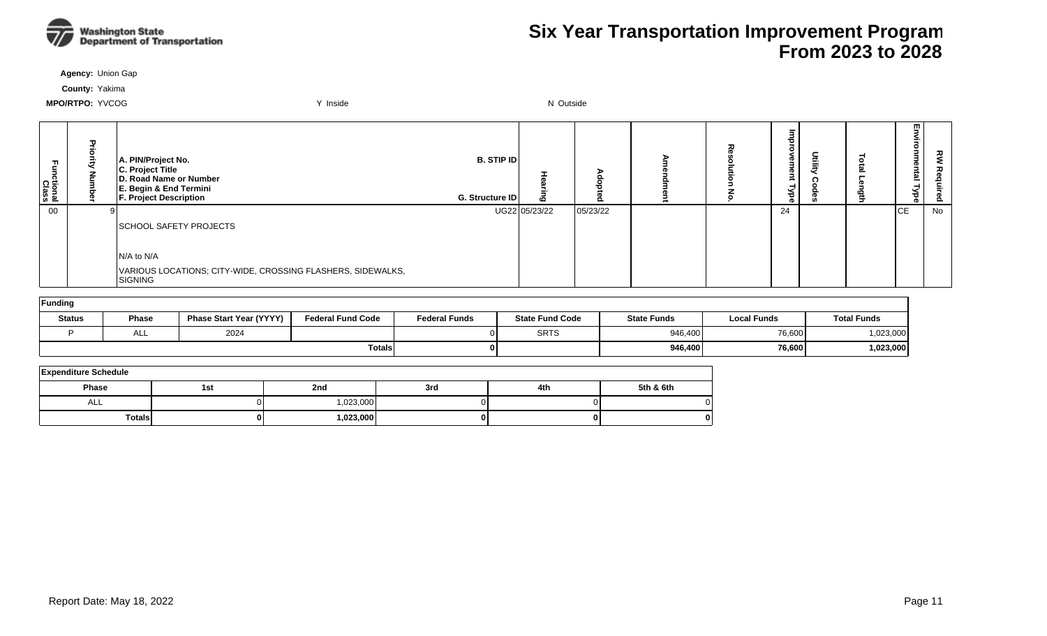

**Agency:** Union Gap

**County:** Yakima

| Ę<br>ctional<br>Class | п. | A. PIN/Project No.<br>C. Project Title<br>D. Road Name or Number<br>E. Begin & End Termini<br><b>F. Project Description</b> | <b>B. STIP ID</b><br>G. Structure ID | m             | $\circ$  | ᆽ | œ<br>œ<br>శ<br>ወ | Ì | $\Rightarrow$ | w.<br>uuu<br>ig<br>S<br>ہے<br>ಕ | RΜ<br>る<br>erling<br>F<br><u>ይ</u> |
|-----------------------|----|-----------------------------------------------------------------------------------------------------------------------------|--------------------------------------|---------------|----------|---|------------------|---|---------------|---------------------------------|------------------------------------|
| $00\,$                |    | <b>SCHOOL SAFETY PROJECTS</b>                                                                                               |                                      | UG22 05/23/22 | 05/23/22 |   | 24               |   |               | CЕ                              | No                                 |
|                       |    | $N/A$ to $N/A$<br>VARIOUS LOCATIONS; CITY-WIDE, CROSSING FLASHERS, SIDEWALKS,<br>SIGNING                                    |                                      |               |          |   |                  |   |               |                                 |                                    |

| Funding       |              |                                |                          |                      |                        |                    |             |                    |  |  |  |  |  |
|---------------|--------------|--------------------------------|--------------------------|----------------------|------------------------|--------------------|-------------|--------------------|--|--|--|--|--|
| <b>Status</b> | <b>Phase</b> | <b>Phase Start Year (YYYY)</b> | <b>Federal Fund Code</b> | <b>Federal Funds</b> | <b>State Fund Code</b> | <b>State Funds</b> | Local Funds | <b>Total Funds</b> |  |  |  |  |  |
|               | ALL          | 2024                           |                          |                      | <b>SRTS</b>            | 946.400            | 76,600      | 1,023,000          |  |  |  |  |  |
|               |              |                                | <b>Totals</b>            | 01                   |                        | 946.400            | 76,600      | 1,023,000          |  |  |  |  |  |

| <b>Expenditure Schedule</b> |     |            |     |     |           |  |  |  |  |  |  |
|-----------------------------|-----|------------|-----|-----|-----------|--|--|--|--|--|--|
| <b>Phase</b>                | 1st | 2nd        | 3rd | 4th | 5th & 6th |  |  |  |  |  |  |
| ALL                         |     | 1,023,000  |     |     |           |  |  |  |  |  |  |
| <b>Totals</b>               |     | 023,000, ا |     | 01  |           |  |  |  |  |  |  |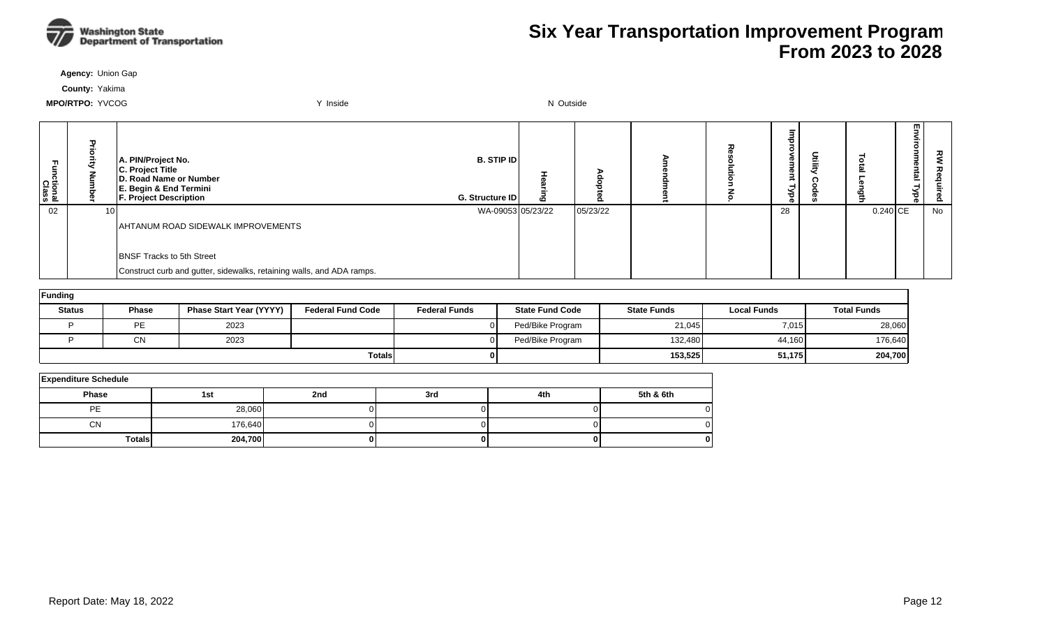

**Agency:** Union Gap

**County:** Yakima

| ctional<br>Class | 고<br>콩<br>ā     | A. PIN/Project No.<br>C. Project Title<br>D. Road Name or Number<br>E. Begin & End Termini<br>F. Project Description | <b>B. STIP ID</b><br>G. Structure ID | ه |          |  | ᄒ<br>Չ<br>ന<br>Mbe |            | 핗<br>vironmental<br>`ੱ<br>Φ | 깋  |
|------------------|-----------------|----------------------------------------------------------------------------------------------------------------------|--------------------------------------|---|----------|--|--------------------|------------|-----------------------------|----|
| 02               | 10 <sub>1</sub> |                                                                                                                      | WA-09053 05/23/22                    |   | 05/23/22 |  | 28                 | $0.240$ CE |                             | No |
|                  |                 | AHTANUM ROAD SIDEWALK IMPROVEMENTS                                                                                   |                                      |   |          |  |                    |            |                             |    |
|                  |                 |                                                                                                                      |                                      |   |          |  |                    |            |                             |    |
|                  |                 | <b>BNSF Tracks to 5th Street</b>                                                                                     |                                      |   |          |  |                    |            |                             |    |
|                  |                 | Construct curb and gutter, sidewalks, retaining walls, and ADA ramps.                                                |                                      |   |          |  |                    |            |                             |    |

| Funding       |              |                                |                          |                      |                        |                    |                    |                    |  |  |  |  |  |
|---------------|--------------|--------------------------------|--------------------------|----------------------|------------------------|--------------------|--------------------|--------------------|--|--|--|--|--|
| <b>Status</b> | <b>Phase</b> | <b>Phase Start Year (YYYY)</b> | <b>Federal Fund Code</b> | <b>Federal Funds</b> | <b>State Fund Code</b> | <b>State Funds</b> | <b>Local Funds</b> | <b>Total Funds</b> |  |  |  |  |  |
|               | PE           | 2023                           |                          |                      | Ped/Bike Program       | 21,045             | 7,015              | 28,060             |  |  |  |  |  |
|               | <b>CN</b>    | 2023                           |                          |                      | Ped/Bike Program       | 132,480            | 44,160             | 176,640            |  |  |  |  |  |
|               |              |                                | <b>Totals</b>            |                      |                        | 153,525            | 51,175             | 204,700            |  |  |  |  |  |

| <b>Expenditure Schedule</b> |         |     |     |     |           |  |  |  |  |  |  |
|-----------------------------|---------|-----|-----|-----|-----------|--|--|--|--|--|--|
| <b>Phase</b>                | 1st     | 2nd | 3rd | 4th | 5th & 6th |  |  |  |  |  |  |
| PE                          | 28,060  |     |     |     |           |  |  |  |  |  |  |
| <b>CN</b>                   | 176,640 |     |     |     |           |  |  |  |  |  |  |
| Totals                      | 204,700 |     |     |     |           |  |  |  |  |  |  |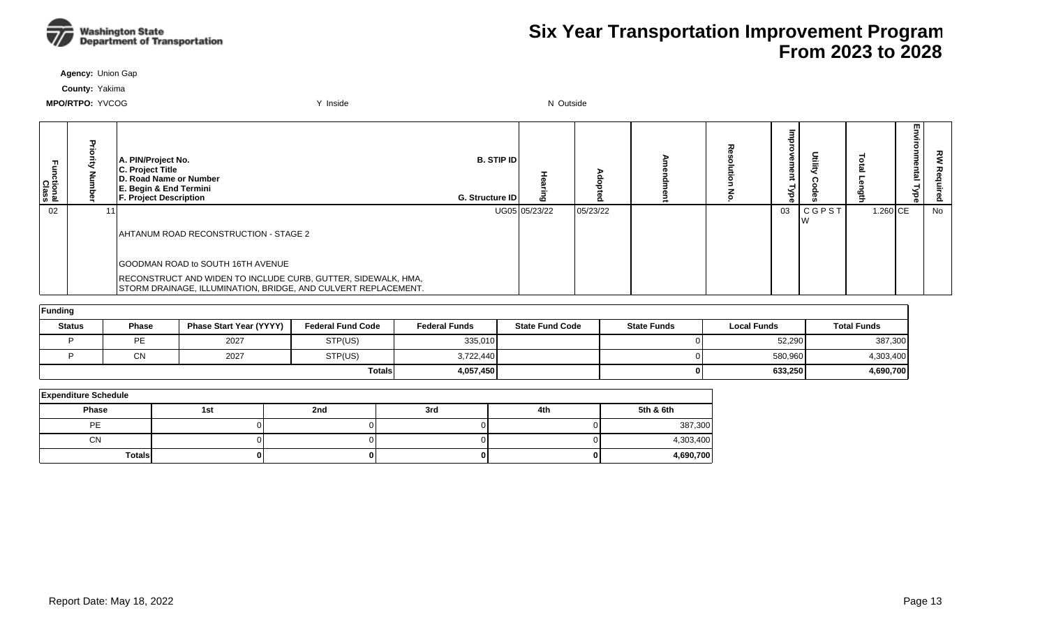

**Agency:** Union Gap

**County:** Yakima

| ctional<br>Class | A. PIN/Project No.<br>C. Project Title<br>D. Road Name or Number<br>E. Begin & End Termini<br><b>F. Project Description</b>     | <b>B. STIP ID</b><br>G. Structure ID |               | o        |  | መ<br>መ<br>ಕ |              |          | m<br><u>한</u><br>ъ<br>ō | ਟੂ<br>௨ |
|------------------|---------------------------------------------------------------------------------------------------------------------------------|--------------------------------------|---------------|----------|--|-------------|--------------|----------|-------------------------|---------|
| 02               |                                                                                                                                 |                                      | UG05 05/23/22 | 05/23/22 |  | 03          | <b>CGPST</b> | 1.260 CE |                         | No      |
|                  | AHTANUM ROAD RECONSTRUCTION - STAGE 2                                                                                           |                                      |               |          |  |             |              |          |                         |         |
|                  | GOODMAN ROAD to SOUTH 16TH AVENUE                                                                                               |                                      |               |          |  |             |              |          |                         |         |
|                  | RECONSTRUCT AND WIDEN TO INCLUDE CURB, GUTTER, SIDEWALK, HMA,<br>STORM DRAINAGE, ILLUMINATION, BRIDGE, AND CULVERT REPLACEMENT. |                                      |               |          |  |             |              |          |                         |         |

| Funding       |              |                         |                          |                      |                        |                    |                    |                    |  |  |  |  |  |
|---------------|--------------|-------------------------|--------------------------|----------------------|------------------------|--------------------|--------------------|--------------------|--|--|--|--|--|
| <b>Status</b> | <b>Phase</b> | Phase Start Year (YYYY) | <b>Federal Fund Code</b> | <b>Federal Funds</b> | <b>State Fund Code</b> | <b>State Funds</b> | <b>Local Funds</b> | <b>Total Funds</b> |  |  |  |  |  |
|               | <b>PE</b>    | 2027                    | STP(US)                  | 335,010              |                        |                    | 52,290             | 387,300            |  |  |  |  |  |
|               | <b>CN</b>    | 2027                    | STP(US)                  | 3,722,440            |                        |                    | 580,960            | 4,303,400          |  |  |  |  |  |
|               |              |                         | <b>Totals</b>            | 4,057,450            |                        |                    | 633.250            | 4,690,700          |  |  |  |  |  |

| <b>Expenditure Schedule</b> |     |     |     |     |           |  |  |  |  |  |  |  |
|-----------------------------|-----|-----|-----|-----|-----------|--|--|--|--|--|--|--|
| <b>Phase</b>                | 1st | 2nd | 3rd | 4th | 5th & 6th |  |  |  |  |  |  |  |
| <b>PE</b>                   |     |     |     |     | 387,300   |  |  |  |  |  |  |  |
| <b>CN</b>                   |     |     |     |     | 4,303,400 |  |  |  |  |  |  |  |
| <b>Totals</b>               |     |     |     |     | 4,690,700 |  |  |  |  |  |  |  |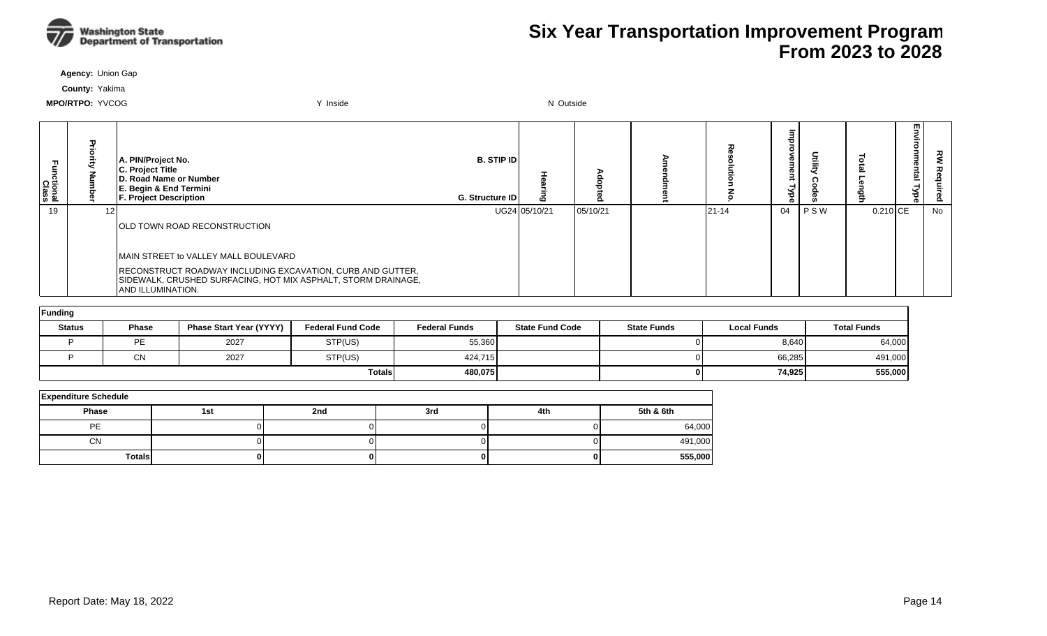

**Agency:** Union Gap

**County:** Yakima

| tional:<br>Class | A. PIN/Project No.<br>C. Project Title<br>D. Road Name or Number<br>E. Begin & End Termini<br><b>F. Project Description</b>                              | <b>B. STIP ID</b><br><b>G. Structure IDI</b> | $\sim$        |          |           | መ  |         |            | m,<br>onmental<br>Type<br>- | š<br>Req<br>Ö. |
|------------------|----------------------------------------------------------------------------------------------------------------------------------------------------------|----------------------------------------------|---------------|----------|-----------|----|---------|------------|-----------------------------|----------------|
| 19               |                                                                                                                                                          |                                              | UG24 05/10/21 | 05/10/21 | $21 - 14$ | 04 | I P S W | $0.210$ CE |                             | No             |
|                  | <b>OLD TOWN ROAD RECONSTRUCTION</b>                                                                                                                      |                                              |               |          |           |    |         |            |                             |                |
|                  | MAIN STREET to VALLEY MALL BOULEVARD                                                                                                                     |                                              |               |          |           |    |         |            |                             |                |
|                  | RECONSTRUCT ROADWAY INCLUDING EXCAVATION, CURB AND GUTTER,<br>SIDEWALK, CRUSHED SURFACING, HOT MIX ASPHALT, STORM DRAINAGE,<br><b>JAND ILLUMINATION.</b> |                                              |               |          |           |    |         |            |                             |                |

| Funding       |              |                         |                          |                      |                        |                    |                    |                    |
|---------------|--------------|-------------------------|--------------------------|----------------------|------------------------|--------------------|--------------------|--------------------|
| <b>Status</b> | <b>Phase</b> | Phase Start Year (YYYY) | <b>Federal Fund Code</b> | <b>Federal Funds</b> | <b>State Fund Code</b> | <b>State Funds</b> | <b>Local Funds</b> | <b>Total Funds</b> |
|               | <b>PE</b>    | 2027                    | STP(US)                  | 55,360               |                        |                    | 8,640              | 64,000             |
|               | CN           | 2027                    | STP(US)                  | 424.715              |                        |                    | 66,285             | 491,000            |
|               |              |                         | <b>Totals</b>            | 480.075              |                        |                    | 74.925             | 555,000            |

| <b>Expenditure Schedule</b> |     |     |     |     |           |  |  |  |  |  |  |
|-----------------------------|-----|-----|-----|-----|-----------|--|--|--|--|--|--|
| <b>Phase</b>                | 1st | 2nd | 3rd | 4th | 5th & 6th |  |  |  |  |  |  |
| PE                          |     |     |     |     | 64,000    |  |  |  |  |  |  |
| <b>CN</b>                   |     |     |     |     | 491,000   |  |  |  |  |  |  |
| Totals                      | 01  |     | 01  |     | 555,000   |  |  |  |  |  |  |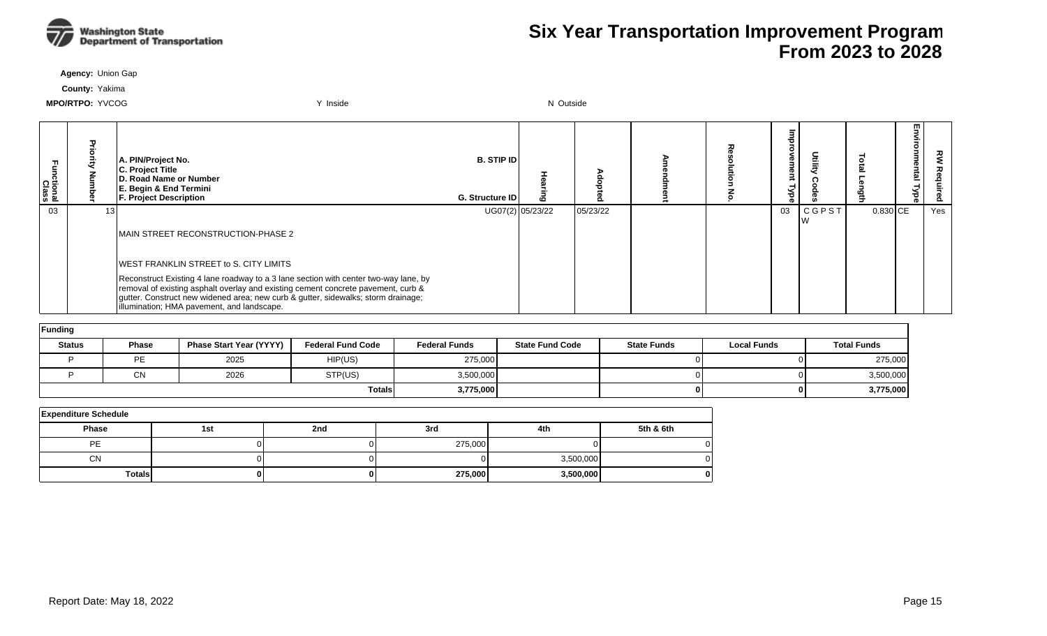

**Agency:** Union Gap

**County:** Yakima

| tional:<br>Class | A. PIN/Project No.<br>C. Project Title<br>D. Road Name or Number<br>E. Begin & End Termini<br><b>F. Project Description</b>                                                                                                                                                                                  | <b>B. STIP IDI</b><br>G. Structure ID | ဖ                |          |  | €<br>ō<br>ರ<br>ൈ | ntilit)      |            | m | ௨   |
|------------------|--------------------------------------------------------------------------------------------------------------------------------------------------------------------------------------------------------------------------------------------------------------------------------------------------------------|---------------------------------------|------------------|----------|--|------------------|--------------|------------|---|-----|
| 03               |                                                                                                                                                                                                                                                                                                              |                                       | UG07(2) 05/23/22 | 05/23/22 |  | 03               | <b>CGPST</b> | $0.830$ CE |   | Yes |
|                  | MAIN STREET RECONSTRUCTION-PHASE 2                                                                                                                                                                                                                                                                           |                                       |                  |          |  |                  |              |            |   |     |
|                  | <b>IWEST FRANKLIN STREET to S. CITY LIMITS</b>                                                                                                                                                                                                                                                               |                                       |                  |          |  |                  |              |            |   |     |
|                  | Reconstruct Existing 4 lane roadway to a 3 lane section with center two-way lane, by<br>removal of existing asphalt overlay and existing cement concrete pavement, curb &<br>gutter. Construct new widened area; new curb & gutter, sidewalks; storm drainage;<br>illumination; HMA pavement, and landscape. |                                       |                  |          |  |                  |              |            |   |     |

| Funding       |              |                                |                          |                      |                        |                    |                    |                    |  |  |  |  |  |
|---------------|--------------|--------------------------------|--------------------------|----------------------|------------------------|--------------------|--------------------|--------------------|--|--|--|--|--|
| <b>Status</b> | <b>Phase</b> | <b>Phase Start Year (YYYY)</b> | <b>Federal Fund Code</b> | <b>Federal Funds</b> | <b>State Fund Code</b> | <b>State Funds</b> | <b>Local Funds</b> | <b>Total Funds</b> |  |  |  |  |  |
|               | PE           | 2025                           | HIP(US)                  | 275,000              |                        |                    |                    | 275,000            |  |  |  |  |  |
|               | <b>CN</b>    | 2026                           | STP(US)                  | 3,500,000            |                        |                    |                    | 3,500,000          |  |  |  |  |  |
|               |              |                                | <b>Totals</b>            | 3,775,000            |                        |                    |                    | 3,775,000          |  |  |  |  |  |

| <b>Expenditure Schedule</b> |     |     |         |           |           |
|-----------------------------|-----|-----|---------|-----------|-----------|
| <b>Phase</b>                | 1st | 2nd | 3rd     | 4th       | 5th & 6th |
| PE                          |     |     | 275,000 |           |           |
| CN                          |     |     |         | 3,500,000 |           |
| <b>Totals</b>               |     |     | 275,000 | 3,500,000 |           |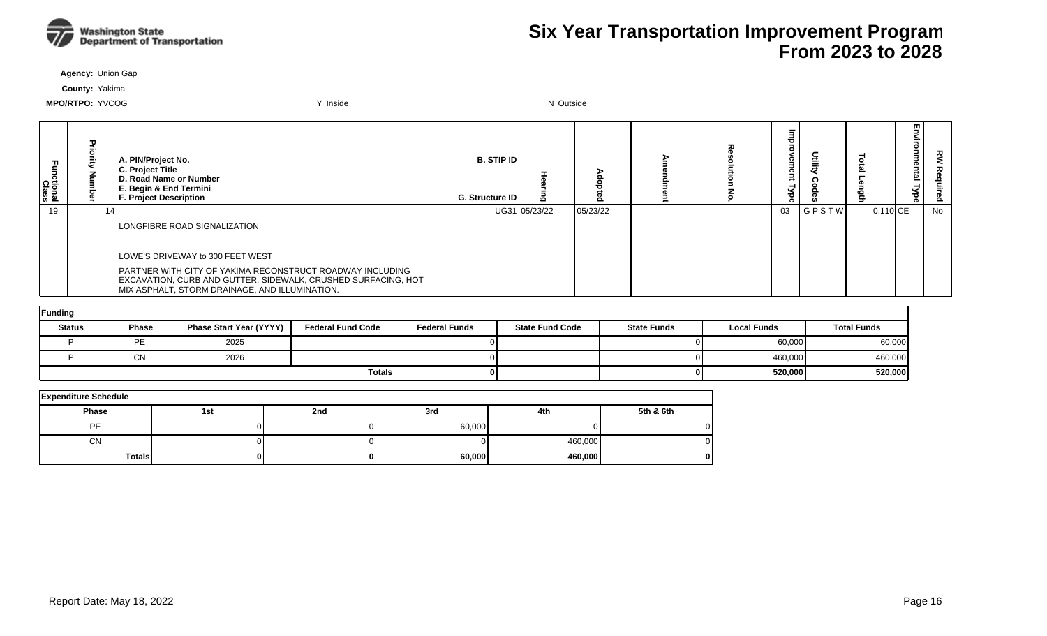

**Agency:** Union Gap

**County:** Yakima

| ctional<br>Class |    | A. PIN/Project No.<br>C. Project Title<br>D. Road Name or Number<br>E. Begin & End Termini<br><b>F. Project Description</b>                                                         | <b>B. STIP IDI</b><br>G. Structure ID |               |          |  | Φ<br>œ<br>ъ | ₿     |            | m<br>உ | ᇰ<br>௨ |
|------------------|----|-------------------------------------------------------------------------------------------------------------------------------------------------------------------------------------|---------------------------------------|---------------|----------|--|-------------|-------|------------|--------|--------|
| 19               | 14 |                                                                                                                                                                                     |                                       | UG31 05/23/22 | 05/23/22 |  | 03          | GPSTW | $0.110$ CE |        | No     |
|                  |    | <b>LONGFIBRE ROAD SIGNALIZATION</b>                                                                                                                                                 |                                       |               |          |  |             |       |            |        |        |
|                  |    | LOWE'S DRIVEWAY to 300 FEET WEST                                                                                                                                                    |                                       |               |          |  |             |       |            |        |        |
|                  |    | <b>PARTNER WITH CITY OF YAKIMA RECONSTRUCT ROADWAY INCLUDING</b><br>EXCAVATION, CURB AND GUTTER, SIDEWALK, CRUSHED SURFACING, HOT<br>MIX ASPHALT, STORM DRAINAGE, AND ILLUMINATION. |                                       |               |          |  |             |       |            |        |        |

| Funding       |              |                                |                          |                      |                        |                    |                    |                    |  |  |  |  |
|---------------|--------------|--------------------------------|--------------------------|----------------------|------------------------|--------------------|--------------------|--------------------|--|--|--|--|
| <b>Status</b> | <b>Phase</b> | <b>Phase Start Year (YYYY)</b> | <b>Federal Fund Code</b> | <b>Federal Funds</b> | <b>State Fund Code</b> | <b>State Funds</b> | <b>Local Funds</b> | <b>Total Funds</b> |  |  |  |  |
|               | PE           | 2025                           |                          |                      |                        |                    | 60,000             | 60,000             |  |  |  |  |
|               | CN           | 2026                           |                          |                      |                        |                    | 460,000            | 460,000            |  |  |  |  |
|               |              |                                | <b>Totals</b>            |                      |                        |                    | 520,000            | 520,000            |  |  |  |  |

| <b>Expenditure Schedule</b> |     |     |        |         |           |  |  |  |  |  |  |
|-----------------------------|-----|-----|--------|---------|-----------|--|--|--|--|--|--|
| Phase                       | 1st | 2nd | 3rd    | 4th     | 5th & 6th |  |  |  |  |  |  |
| PE                          |     |     | 60,000 |         | 01        |  |  |  |  |  |  |
| <b>CN</b>                   |     |     |        | 460,000 | 0         |  |  |  |  |  |  |
| <b>Totals</b>               | 0 I | 01  | 60,000 | 460,000 |           |  |  |  |  |  |  |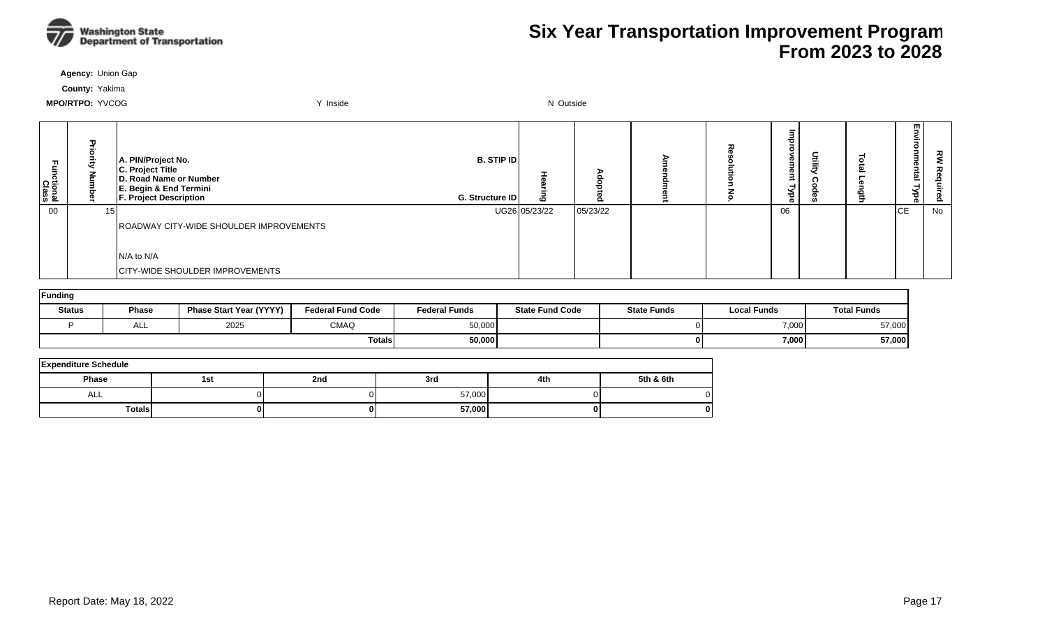

**Agency:** Union Gap

**County:** Yakima

| ctional<br>Class | ᄁ<br>ã<br>ā | A. PIN/Project No.<br>C. Project Title<br>D. Road Name or Number<br>E. Begin & End Termini<br><b>F. Project Description</b> | <b>B. STIP ID</b><br>G. Structure ID | 6             |          |  | ᄒ<br><u>ዊ</u><br><b>Lype</b> | c<br>Ξ | 핗<br>≦.<br>onme<br>lag<br>⊣<br>Nbe | 깋  |
|------------------|-------------|-----------------------------------------------------------------------------------------------------------------------------|--------------------------------------|---------------|----------|--|------------------------------|--------|------------------------------------|----|
| 00               | 15          |                                                                                                                             |                                      | UG26 05/23/22 | 05/23/22 |  | 06                           |        | <b>ICE</b>                         | No |
|                  |             | ROADWAY CITY-WIDE SHOULDER IMPROVEMENTS                                                                                     |                                      |               |          |  |                              |        |                                    |    |
|                  |             |                                                                                                                             |                                      |               |          |  |                              |        |                                    |    |
|                  |             | IN/A to N/A                                                                                                                 |                                      |               |          |  |                              |        |                                    |    |
|                  |             | <b>CITY-WIDE SHOULDER IMPROVEMENTS</b>                                                                                      |                                      |               |          |  |                              |        |                                    |    |

| Funding       |              |                                |                          |                      |                        |                    |                    |                    |  |  |  |
|---------------|--------------|--------------------------------|--------------------------|----------------------|------------------------|--------------------|--------------------|--------------------|--|--|--|
| <b>Status</b> | <b>Phase</b> | <b>Phase Start Year (YYYY)</b> | <b>Federal Fund Code</b> | <b>Federal Funds</b> | <b>State Fund Code</b> | <b>State Funds</b> | <b>Local Funds</b> | <b>Total Funds</b> |  |  |  |
|               | ALL          | 2025                           | <b>CMAQ</b>              | 50,000               |                        |                    | 7,000              | 57,000             |  |  |  |
|               |              |                                | <b>Totals</b>            | 50,000               |                        |                    | 7,000              | 57,000             |  |  |  |

| <b>Expenditure Schedule</b> |     |     |        |     |           |  |  |  |  |  |  |
|-----------------------------|-----|-----|--------|-----|-----------|--|--|--|--|--|--|
| <b>Phase</b>                | 1st | 2nd | 3rd    | 4th | 5th & 6th |  |  |  |  |  |  |
| ALL                         |     |     | 57,000 |     |           |  |  |  |  |  |  |
| <b>Totals</b>               |     | 0   | 57,000 |     |           |  |  |  |  |  |  |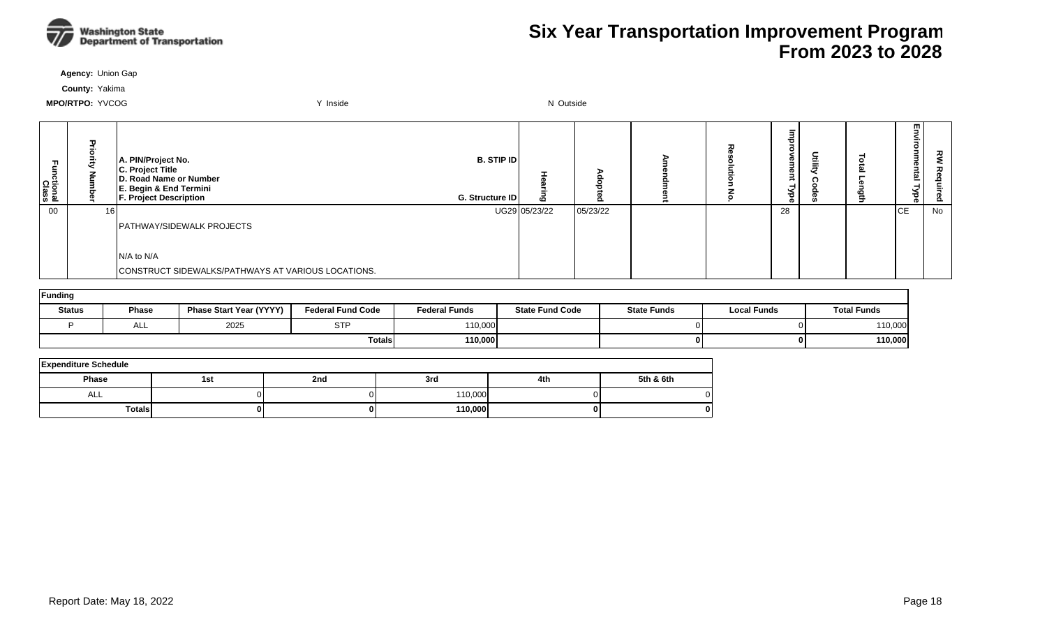

**Agency:** Union Gap

**County:** Yakima

| ctional<br>Class | 고<br>킁<br>ā<br>ξ | A. PIN/Project No.<br>C. Project Title<br>D. Road Name or Number<br>E. Begin & End Termini<br>F. Project Description | <b>B. STIP ID</b><br>G. Structure ID | ه             |          |  | ᇰ<br>$\mathbb{R}$<br><b>D</b><br>≺<br>ढ़ | 돞 | 핗<br>≨.<br>onmental<br>Nbe | 깋  |
|------------------|------------------|----------------------------------------------------------------------------------------------------------------------|--------------------------------------|---------------|----------|--|------------------------------------------|---|----------------------------|----|
| 00               | 161              |                                                                                                                      |                                      | UG29 05/23/22 | 05/23/22 |  | 28                                       |   | <b>ICE</b>                 | No |
|                  |                  | PATHWAY/SIDEWALK PROJECTS                                                                                            |                                      |               |          |  |                                          |   |                            |    |
|                  |                  |                                                                                                                      |                                      |               |          |  |                                          |   |                            |    |
|                  |                  | IN/A to N/A                                                                                                          |                                      |               |          |  |                                          |   |                            |    |
|                  |                  | CONSTRUCT SIDEWALKS/PATHWAYS AT VARIOUS LOCATIONS.                                                                   |                                      |               |          |  |                                          |   |                            |    |

| Funding       |              |                         |                          |                      |                        |                    |                    |                    |  |  |  |
|---------------|--------------|-------------------------|--------------------------|----------------------|------------------------|--------------------|--------------------|--------------------|--|--|--|
| <b>Status</b> | <b>Phase</b> | Phase Start Year (YYYY) | <b>Federal Fund Code</b> | <b>Federal Funds</b> | <b>State Fund Code</b> | <b>State Funds</b> | <b>Local Funds</b> | <b>Total Funds</b> |  |  |  |
|               | ALL          | 2025                    | <b>STP</b>               | 110,000              |                        |                    |                    | 110,000            |  |  |  |
|               |              |                         | <b>Totals</b>            | 110,000              |                        |                    |                    | 110,000            |  |  |  |

| <b>Expenditure Schedule</b> |     |     |         |     |           |  |  |  |  |  |  |
|-----------------------------|-----|-----|---------|-----|-----------|--|--|--|--|--|--|
| Phase                       | 1st | 2nd | 3rd     | 4th | 5th & 6th |  |  |  |  |  |  |
| ALL                         |     |     | 110,000 |     |           |  |  |  |  |  |  |
| <b>Totals</b>               |     |     | 110,000 | 0   |           |  |  |  |  |  |  |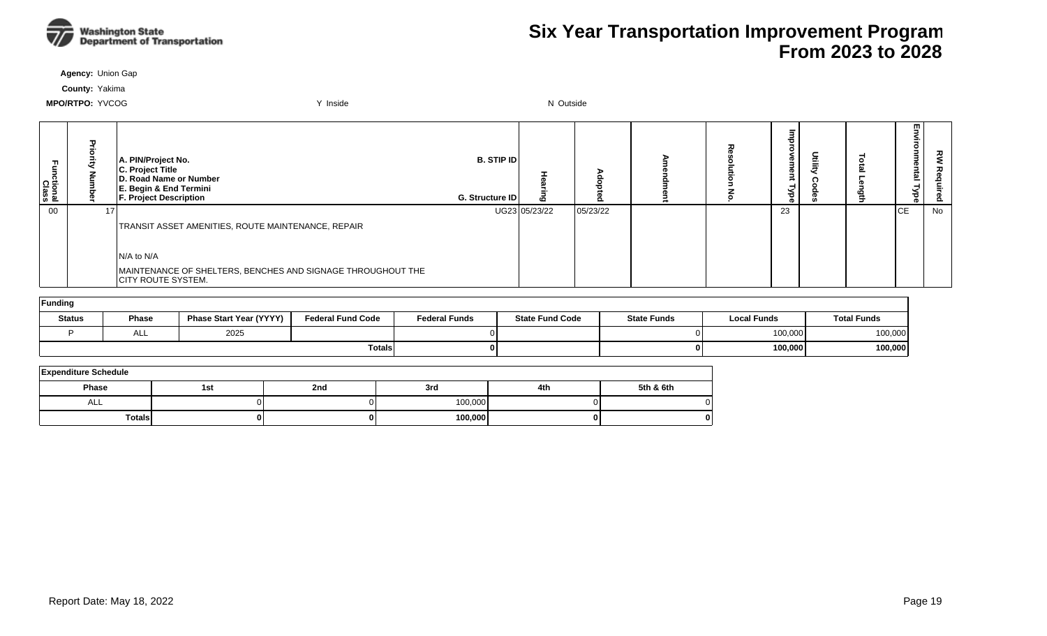

**Agency:** Union Gap

**County:** Yakima

| Εā<br>ctional<br>Class | ᠊ᠣ              | A. PIN/Project No.<br>C. Project Title<br>D. Road Name or Number<br>E. Begin & End Termini<br><b>F. Project Description</b> | <b>B. STIP ID</b><br>G. Structure ID | ဖ             | o        |  | ወ<br>o.<br>`₹<br>o. |  | m<br>ወ<br><u>ត</u><br>ര | 공<br>စိ |
|------------------------|-----------------|-----------------------------------------------------------------------------------------------------------------------------|--------------------------------------|---------------|----------|--|---------------------|--|-------------------------|---------|
| 00                     | 17 <sup>1</sup> |                                                                                                                             |                                      | UG23 05/23/22 | 05/23/22 |  | 23                  |  | <b>CE</b>               | No      |
|                        |                 | TRANSIT ASSET AMENITIES, ROUTE MAINTENANCE, REPAIR                                                                          |                                      |               |          |  |                     |  |                         |         |
|                        |                 |                                                                                                                             |                                      |               |          |  |                     |  |                         |         |
|                        |                 | $N/A$ to $N/A$                                                                                                              |                                      |               |          |  |                     |  |                         |         |
|                        |                 | MAINTENANCE OF SHELTERS, BENCHES AND SIGNAGE THROUGHOUT THE<br><b>CITY ROUTE SYSTEM.</b>                                    |                                      |               |          |  |                     |  |                         |         |

| <b>Funding</b> |              |                                |                          |                      |                        |                    |                    |                    |  |  |  |  |  |
|----------------|--------------|--------------------------------|--------------------------|----------------------|------------------------|--------------------|--------------------|--------------------|--|--|--|--|--|
| <b>Status</b>  | <b>Phase</b> | <b>Phase Start Year (YYYY)</b> | <b>Federal Fund Code</b> | <b>Federal Funds</b> | <b>State Fund Code</b> | <b>State Funds</b> | <b>Local Funds</b> | <b>Total Funds</b> |  |  |  |  |  |
|                | nLL.         | 2025                           |                          |                      |                        |                    | 100,000            | 100,000            |  |  |  |  |  |
|                |              |                                | <b>Totals</b>            |                      |                        | $\mathbf{0}$       | 100,000            | 100,000            |  |  |  |  |  |

| <b>Expenditure Schedule</b> |     |     |         |     |           |  |  |  |  |  |  |
|-----------------------------|-----|-----|---------|-----|-----------|--|--|--|--|--|--|
| <b>Phase</b>                | 1st | 2nd | 3rd     | 4th | 5th & 6th |  |  |  |  |  |  |
| ALL                         |     |     | 100,000 |     |           |  |  |  |  |  |  |
| <b>Totals</b>               |     |     | 100,000 |     |           |  |  |  |  |  |  |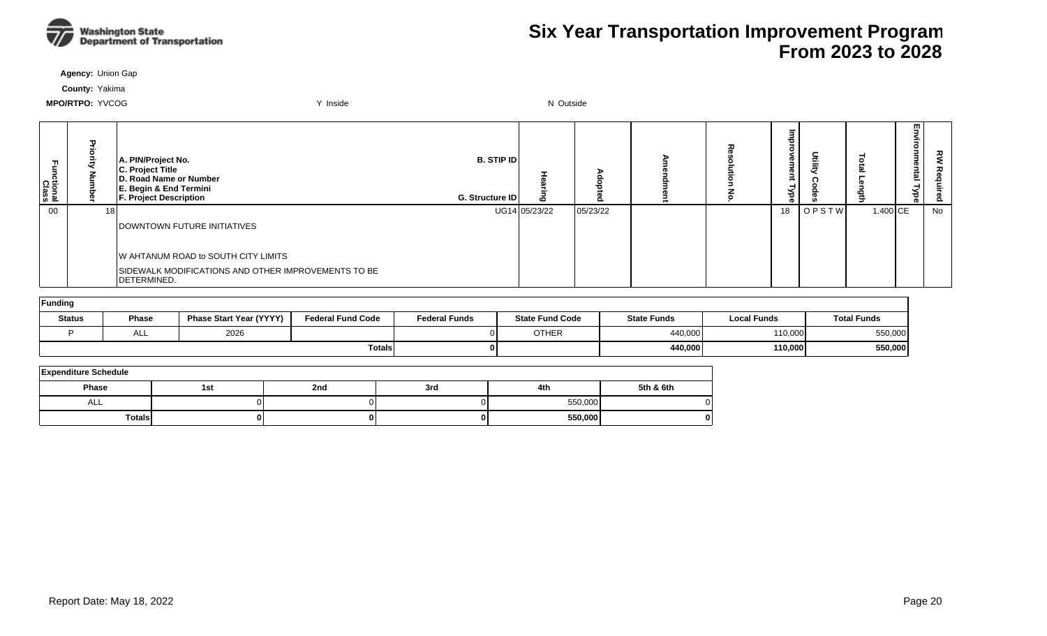

**Agency:** Union Gap

**County:** Yakima

| Fall<br>nctional<br>Class | $\mathbf{u}$    | A. PIN/Project No.<br>C. Project Title<br>D. Road Name or Number<br>E. Begin & End Termini<br><b>F. Project Description</b> | <b>B. STIP IDI</b><br>G. Structure ID |               |          | 고 | ಕ  | Dtili | 록        | E5<br>vironmental<br><b>Type</b> | ट्ट<br>高<br>௨ |
|---------------------------|-----------------|-----------------------------------------------------------------------------------------------------------------------------|---------------------------------------|---------------|----------|---|----|-------|----------|----------------------------------|---------------|
| 00                        | 18 <sub>1</sub> |                                                                                                                             |                                       | UG14 05/23/22 | 05/23/22 |   | 18 | OPSTW | 1.400 CE |                                  | No            |
|                           |                 | <b>DOWNTOWN FUTURE INITIATIVES</b>                                                                                          |                                       |               |          |   |    |       |          |                                  |               |
|                           |                 |                                                                                                                             |                                       |               |          |   |    |       |          |                                  |               |
|                           |                 | W AHTANUM ROAD to SOUTH CITY LIMITS                                                                                         |                                       |               |          |   |    |       |          |                                  |               |
|                           |                 | SIDEWALK MODIFICATIONS AND OTHER IMPROVEMENTS TO BE<br>DETERMINED.                                                          |                                       |               |          |   |    |       |          |                                  |               |

| Funding       |              |                                |                          |                      |                        |                    |                    |                    |  |  |  |  |  |
|---------------|--------------|--------------------------------|--------------------------|----------------------|------------------------|--------------------|--------------------|--------------------|--|--|--|--|--|
| <b>Status</b> | <b>Phase</b> | <b>Phase Start Year (YYYY)</b> | <b>Federal Fund Code</b> | <b>Federal Funds</b> | <b>State Fund Code</b> | <b>State Funds</b> | <b>Local Funds</b> | <b>Total Funds</b> |  |  |  |  |  |
|               | ALL          | 2026                           |                          |                      | <b>OTHER</b>           | 440,000            | 110,000            | 550,000            |  |  |  |  |  |
|               |              |                                | <b>Totals</b>            |                      |                        | 440,000            | 110,000            | 550,000            |  |  |  |  |  |

| <b>Expenditure Schedule</b> |     |     |     |         |           |  |  |  |  |  |  |
|-----------------------------|-----|-----|-----|---------|-----------|--|--|--|--|--|--|
| Phase                       | 1st | 2nd | 3rd | 4th     | 5th & 6th |  |  |  |  |  |  |
| ALL                         |     |     |     | 550,000 |           |  |  |  |  |  |  |
| <b>Totals</b>               |     |     |     | 550,000 |           |  |  |  |  |  |  |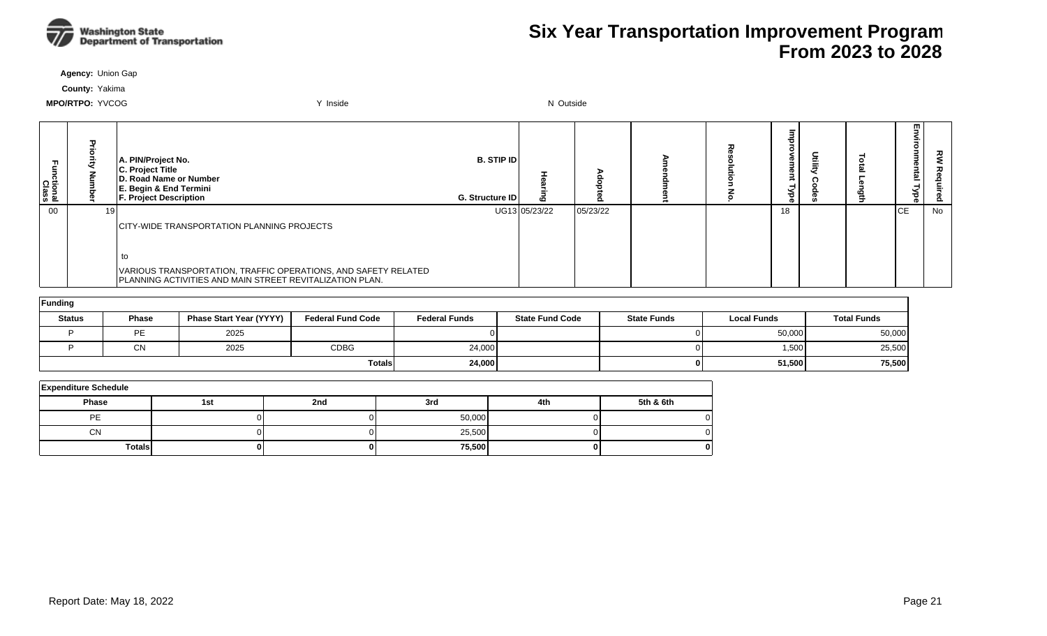

**Agency:** Union Gap

**County:** Yakima

| Functional<br>Class |      | A. PIN/Project No.<br>C. Project Title<br>D. Road Name or Number<br>E. Begin & End Termini<br><b>F. Project Description</b> | <b>B. STIP IDI</b><br><b>G. Structure IDI</b> | ဖ             |          |  | œ<br>ਠ | 들 | 5<br>onmental<br><b>Type</b> | ट्ट<br>௨ |
|---------------------|------|-----------------------------------------------------------------------------------------------------------------------------|-----------------------------------------------|---------------|----------|--|--------|---|------------------------------|----------|
| $00\,$              | 19 I |                                                                                                                             |                                               | UG13 05/23/22 | 05/23/22 |  | 18     |   | lсE                          | No       |
|                     |      | CITY-WIDE TRANSPORTATION PLANNING PROJECTS                                                                                  |                                               |               |          |  |        |   |                              |          |
|                     |      |                                                                                                                             |                                               |               |          |  |        |   |                              |          |
|                     |      |                                                                                                                             |                                               |               |          |  |        |   |                              |          |
|                     |      | VARIOUS TRANSPORTATION, TRAFFIC OPERATIONS, AND SAFETY RELATED<br>PLANNING ACTIVITIES AND MAIN STREET REVITALIZATION PLAN.  |                                               |               |          |  |        |   |                              |          |

| Funding       |              |                                |                          |                      |                        |                    |                    |                    |  |  |  |  |
|---------------|--------------|--------------------------------|--------------------------|----------------------|------------------------|--------------------|--------------------|--------------------|--|--|--|--|
| <b>Status</b> | <b>Phase</b> | <b>Phase Start Year (YYYY)</b> | <b>Federal Fund Code</b> | <b>Federal Funds</b> | <b>State Fund Code</b> | <b>State Funds</b> | <b>Local Funds</b> | <b>Total Funds</b> |  |  |  |  |
|               | <b>PE</b>    | 2025                           |                          |                      |                        |                    | 50,000             | 50,000             |  |  |  |  |
|               | CN           | 2025                           | <b>CDBG</b>              | 24,000               |                        |                    | 1,500              | 25,500             |  |  |  |  |
|               |              |                                | <b>Totals</b>            | 24,000               |                        |                    | 51,500             | 75,500             |  |  |  |  |

| <b>Expenditure Schedule</b> |     |     |        |     |           |  |  |  |  |  |  |
|-----------------------------|-----|-----|--------|-----|-----------|--|--|--|--|--|--|
| <b>Phase</b>                | 1st | 2nd | 3rd    | 4th | 5th & 6th |  |  |  |  |  |  |
| PE                          |     |     | 50,000 |     |           |  |  |  |  |  |  |
| <b>CN</b>                   |     |     | 25,500 |     |           |  |  |  |  |  |  |
| <b>Totals</b>               |     |     | 75,500 |     | O         |  |  |  |  |  |  |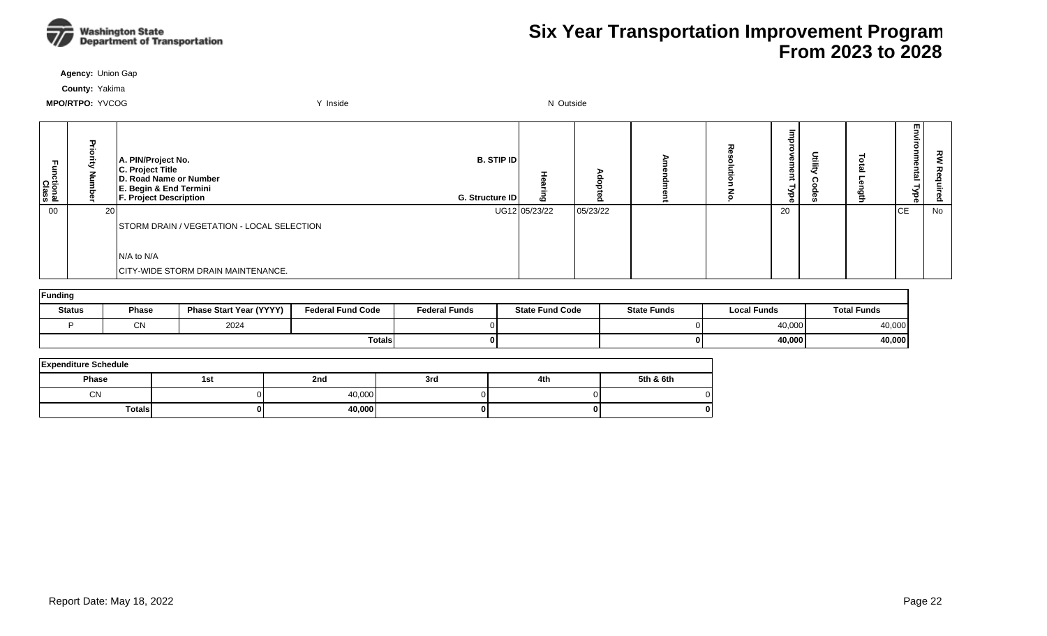

**Agency:** Union Gap

**County:** Yakima

| ctional<br>Class | 고<br>공<br>ਟ<br>Š | A. PIN/Project No.<br>C. Project Title<br><b>D. Road Name or Number</b><br>E. Begin & End Termini<br>F. Project Description | <b>B. STIP ID</b><br>G. Structure ID | ō             |          |  | ᄒ<br>₽.<br>ന<br>≫<br>ak |  | 핗<br>ξ.<br>onmental<br>Nbe | 깋  |
|------------------|------------------|-----------------------------------------------------------------------------------------------------------------------------|--------------------------------------|---------------|----------|--|-------------------------|--|----------------------------|----|
| 00               | 20               |                                                                                                                             |                                      | UG12 05/23/22 | 05/23/22 |  | 20                      |  | ICE.                       | No |
|                  |                  | STORM DRAIN / VEGETATION - LOCAL SELECTION                                                                                  |                                      |               |          |  |                         |  |                            |    |
|                  |                  |                                                                                                                             |                                      |               |          |  |                         |  |                            |    |
|                  |                  | IN/A to N/A                                                                                                                 |                                      |               |          |  |                         |  |                            |    |
|                  |                  | <b>CITY-WIDE STORM DRAIN MAINTENANCE.</b>                                                                                   |                                      |               |          |  |                         |  |                            |    |

| Funding       |       |                                |                          |                      |                        |                    |                    |                    |  |  |  |
|---------------|-------|--------------------------------|--------------------------|----------------------|------------------------|--------------------|--------------------|--------------------|--|--|--|
| <b>Status</b> | Phase | <b>Phase Start Year (YYYY)</b> | <b>Federal Fund Code</b> | <b>Federal Funds</b> | <b>State Fund Code</b> | <b>State Funds</b> | <b>Local Funds</b> | <b>Total Funds</b> |  |  |  |
|               | СN    | 2024                           |                          |                      |                        |                    | 40,000             | 40,000             |  |  |  |
|               |       |                                | <b>Totals</b>            |                      |                        |                    | 40,000             | 40,000             |  |  |  |

| <b>Expenditure Schedule</b> |     |        |     |     |           |  |  |  |  |  |  |
|-----------------------------|-----|--------|-----|-----|-----------|--|--|--|--|--|--|
| Phase                       | 1st | 2nd    | 3rd | 4th | 5th & 6th |  |  |  |  |  |  |
| <b>CN</b>                   |     | 40,000 |     |     |           |  |  |  |  |  |  |
| <b>Totals</b>               |     | 40,000 |     |     |           |  |  |  |  |  |  |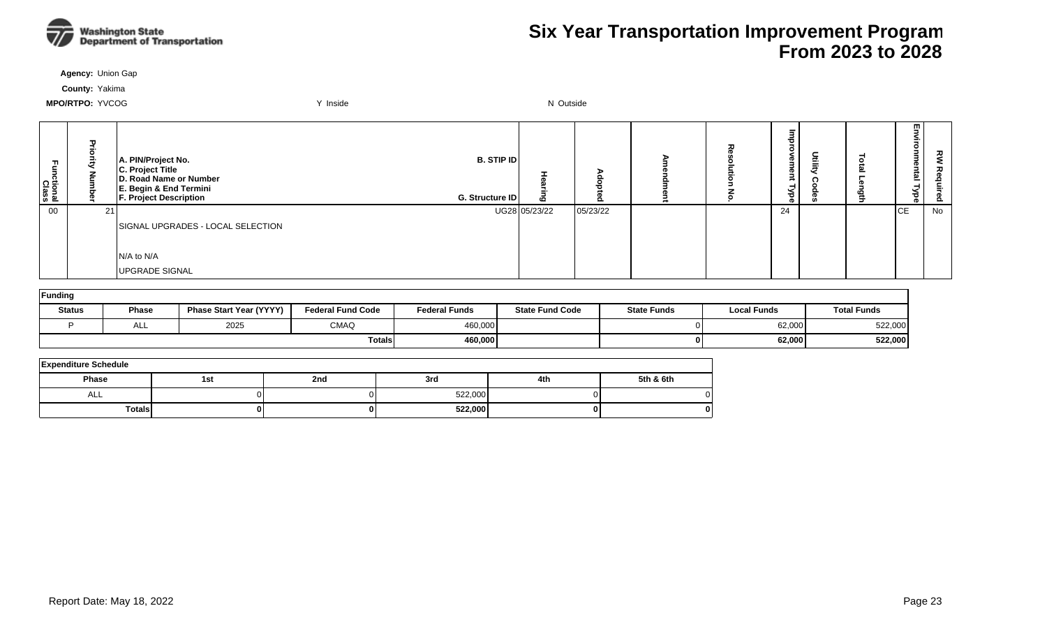

**Agency:** Union Gap

**County:** Yakima

| п.<br>Functional<br>Class | Ð  | A. PIN/Project No.<br>C. Project Title<br>D. Road Name or Number<br>E. Begin & End Termini<br><b>F. Project Description</b> | <b>B. STIP ID</b><br>G. Structure ID |               | $\Omega$ | ᆽ | Ѣ.<br>നാ<br>ൈ<br>≺<br>ਠ<br>െ | $\equiv$ | Ľ5<br>≦.<br>o.<br>nmental<br>Type | 깋  |
|---------------------------|----|-----------------------------------------------------------------------------------------------------------------------------|--------------------------------------|---------------|----------|---|------------------------------|----------|-----------------------------------|----|
| 00                        | 21 |                                                                                                                             |                                      | UG28 05/23/22 | 05/23/22 |   | 24                           |          | ICE                               | No |
|                           |    | SIGNAL UPGRADES - LOCAL SELECTION                                                                                           |                                      |               |          |   |                              |          |                                   |    |
|                           |    |                                                                                                                             |                                      |               |          |   |                              |          |                                   |    |
|                           |    | $N/A$ to $N/A$                                                                                                              |                                      |               |          |   |                              |          |                                   |    |
|                           |    | UPGRADE SIGNAL                                                                                                              |                                      |               |          |   |                              |          |                                   |    |

| Funding       |              |                                |                          |                      |                        |                    |                    |                    |  |  |  |
|---------------|--------------|--------------------------------|--------------------------|----------------------|------------------------|--------------------|--------------------|--------------------|--|--|--|
| <b>Status</b> | <b>Phase</b> | <b>Phase Start Year (YYYY)</b> | <b>Federal Fund Code</b> | <b>Federal Funds</b> | <b>State Fund Code</b> | <b>State Funds</b> | <b>Local Funds</b> | <b>Total Funds</b> |  |  |  |
|               | ALL          | 2025                           | <b>CMAQ</b>              | 460,000              |                        |                    | 62,000             | 522,000            |  |  |  |
|               |              |                                | <b>Totals</b>            | 460,000              |                        |                    | 62,000             | 522,000            |  |  |  |

| <b>Expenditure Schedule</b> |     |     |         |     |           |  |  |  |  |  |
|-----------------------------|-----|-----|---------|-----|-----------|--|--|--|--|--|
| <b>Phase</b>                | 1st | 2nd | 3rd     | 4th | 5th & 6th |  |  |  |  |  |
| <b>ALL</b>                  |     |     | 522,000 |     |           |  |  |  |  |  |
| <b>Totals</b>               | 01  |     | 522,000 |     |           |  |  |  |  |  |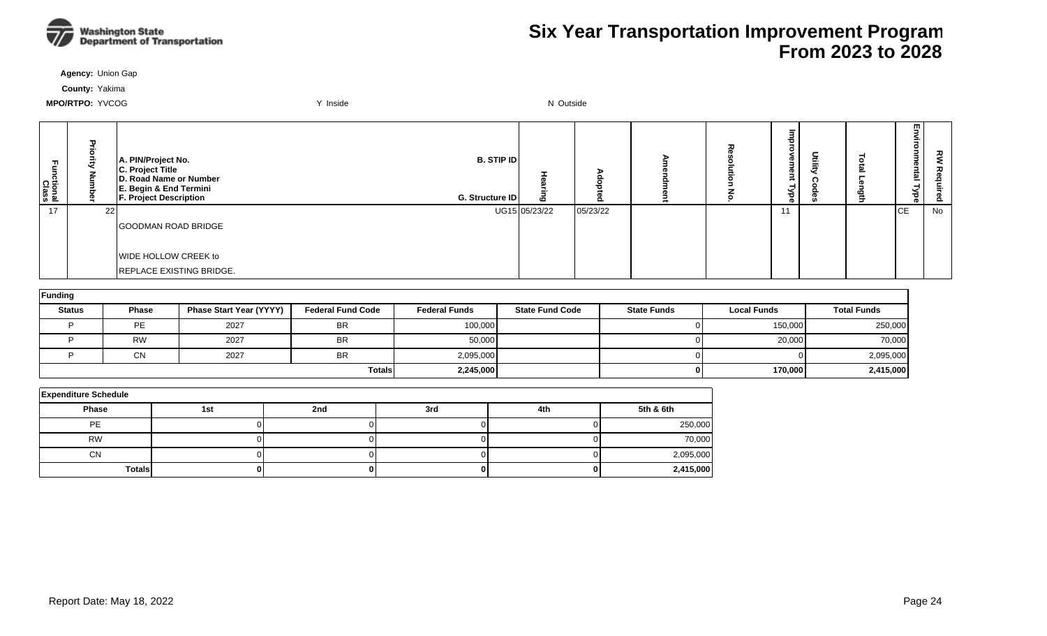

**Agency:** Union Gap

**County:** Yakima

| ctional<br>Class | 고<br>공<br>ā<br>Š | <b>B. STIP ID</b><br>A. PIN/Project No.<br>C. Project Title<br><b>D. Road Name or Number</b><br>E. Begin & End Termini<br>F. Project Description<br>G. Structure ID | ō             |          |  | ᄒ<br>≏<br>ന<br>≫<br>ak | c | E5<br>≦.<br>onme<br>intal<br>Nbe | 킿  |
|------------------|------------------|---------------------------------------------------------------------------------------------------------------------------------------------------------------------|---------------|----------|--|------------------------|---|----------------------------------|----|
| 17               | 22               |                                                                                                                                                                     | UG15 05/23/22 | 05/23/22 |  | 11                     |   | ICE.                             | No |
|                  |                  | <b>GOODMAN ROAD BRIDGE</b>                                                                                                                                          |               |          |  |                        |   |                                  |    |
|                  |                  |                                                                                                                                                                     |               |          |  |                        |   |                                  |    |
|                  |                  | WIDE HOLLOW CREEK to                                                                                                                                                |               |          |  |                        |   |                                  |    |
|                  |                  | REPLACE EXISTING BRIDGE.                                                                                                                                            |               |          |  |                        |   |                                  |    |

| Funding       |              |                                |                          |                      |                        |                    |                    |                    |  |  |  |  |
|---------------|--------------|--------------------------------|--------------------------|----------------------|------------------------|--------------------|--------------------|--------------------|--|--|--|--|
| <b>Status</b> | <b>Phase</b> | <b>Phase Start Year (YYYY)</b> | <b>Federal Fund Code</b> | <b>Federal Funds</b> | <b>State Fund Code</b> | <b>State Funds</b> | <b>Local Funds</b> | <b>Total Funds</b> |  |  |  |  |
|               | PE.          | 2027                           | <b>BR</b>                | 100,000              |                        |                    | 150,000            | 250,000            |  |  |  |  |
|               | <b>RW</b>    | 2027                           | <b>BR</b>                | 50,000               |                        |                    | 20,000             | 70,000             |  |  |  |  |
|               | <b>CN</b>    | 2027                           | <b>BR</b>                | 2,095,000            |                        |                    |                    | 2,095,000          |  |  |  |  |
|               |              |                                | <b>Totals</b>            | 2,245,000            |                        |                    | 170,000            | 2,415,000          |  |  |  |  |

| <b>Expenditure Schedule</b> |                          |  |  |  |           |  |  |  |  |  |
|-----------------------------|--------------------------|--|--|--|-----------|--|--|--|--|--|
| Phase                       | 2nd<br>4th<br>3rd<br>1st |  |  |  |           |  |  |  |  |  |
| PE                          |                          |  |  |  | 250,000   |  |  |  |  |  |
| <b>RW</b>                   |                          |  |  |  | 70,000    |  |  |  |  |  |
| <b>CN</b>                   |                          |  |  |  | 2,095,000 |  |  |  |  |  |
| <b>Totals</b>               |                          |  |  |  | 2,415,000 |  |  |  |  |  |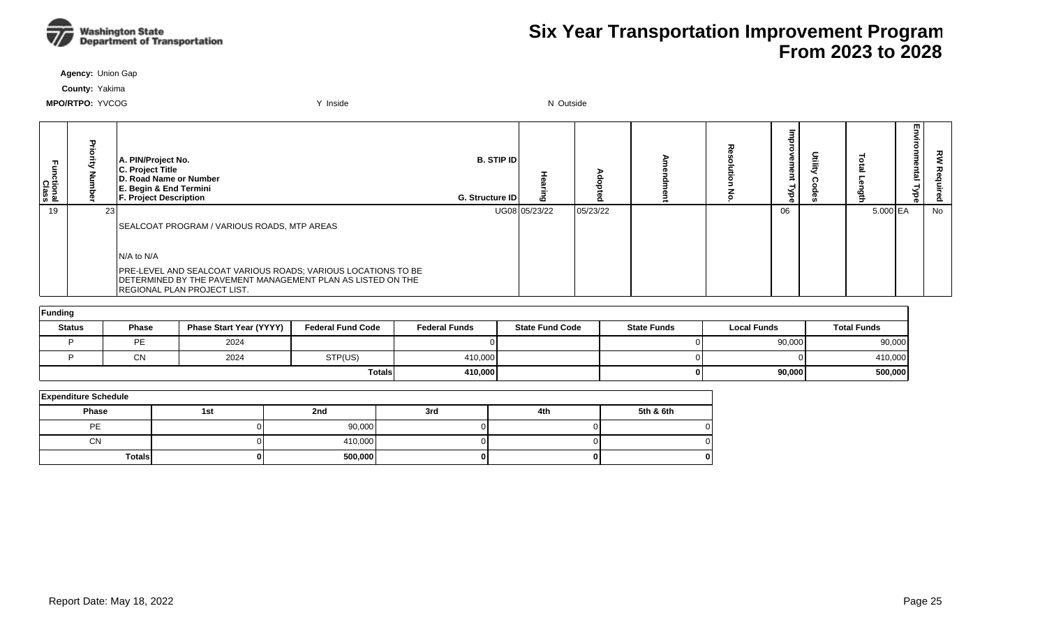

**Agency:** Union Gap

**County:** Yakima

| :tional<br>Class |      | A. PIN/Project No.<br>C. Project Title<br>D. Road Name or Number<br>E. Begin & End Termini<br><b>F. Project Description</b>                                               | <b>B. STIP IDI</b><br>G. Structure ID |               |          |  | ന<br>Φ<br>ᇃ | 들 |          | m | ᇰ<br>Ö. |
|------------------|------|---------------------------------------------------------------------------------------------------------------------------------------------------------------------------|---------------------------------------|---------------|----------|--|-------------|---|----------|---|---------|
| 19               | -231 |                                                                                                                                                                           |                                       | UG08 05/23/22 | 05/23/22 |  | 06          |   | 5.000 EA |   | No      |
|                  |      | SEALCOAT PROGRAM / VARIOUS ROADS, MTP AREAS                                                                                                                               |                                       |               |          |  |             |   |          |   |         |
|                  |      | $IN/A$ to $N/A$                                                                                                                                                           |                                       |               |          |  |             |   |          |   |         |
|                  |      | <b>PRE-LEVEL AND SEALCOAT VARIOUS ROADS; VARIOUS LOCATIONS TO BE</b><br>DETERMINED BY THE PAVEMENT MANAGEMENT PLAN AS LISTED ON THE<br><b>REGIONAL PLAN PROJECT LIST.</b> |                                       |               |          |  |             |   |          |   |         |

| Funding       |           |                                |                          |                      |                        |                    |                    |                    |  |  |  |  |
|---------------|-----------|--------------------------------|--------------------------|----------------------|------------------------|--------------------|--------------------|--------------------|--|--|--|--|
| <b>Status</b> | Phase     | <b>Phase Start Year (YYYY)</b> | <b>Federal Fund Code</b> | <b>Federal Funds</b> | <b>State Fund Code</b> | <b>State Funds</b> | <b>Local Funds</b> | <b>Total Funds</b> |  |  |  |  |
|               | PE        | 2024                           |                          |                      |                        |                    | 90,000             | 90,000             |  |  |  |  |
|               | <b>CN</b> | 2024                           | STP(US)                  | 410,000              |                        |                    |                    | 410,000            |  |  |  |  |
|               |           |                                | <b>Totals</b>            | 410.000              |                        |                    | 90,000             | 500,000            |  |  |  |  |

| <b>Expenditure Schedule</b> |     |         |     |     |           |  |  |  |  |  |  |
|-----------------------------|-----|---------|-----|-----|-----------|--|--|--|--|--|--|
| Phase                       | 1st | 2nd     | 3rd | 4th | 5th & 6th |  |  |  |  |  |  |
| PE                          |     | 90,000  |     |     | 01        |  |  |  |  |  |  |
| <b>CN</b>                   |     | 410,000 |     |     | 0         |  |  |  |  |  |  |
| <b>Totals</b>               |     | 500,000 |     |     |           |  |  |  |  |  |  |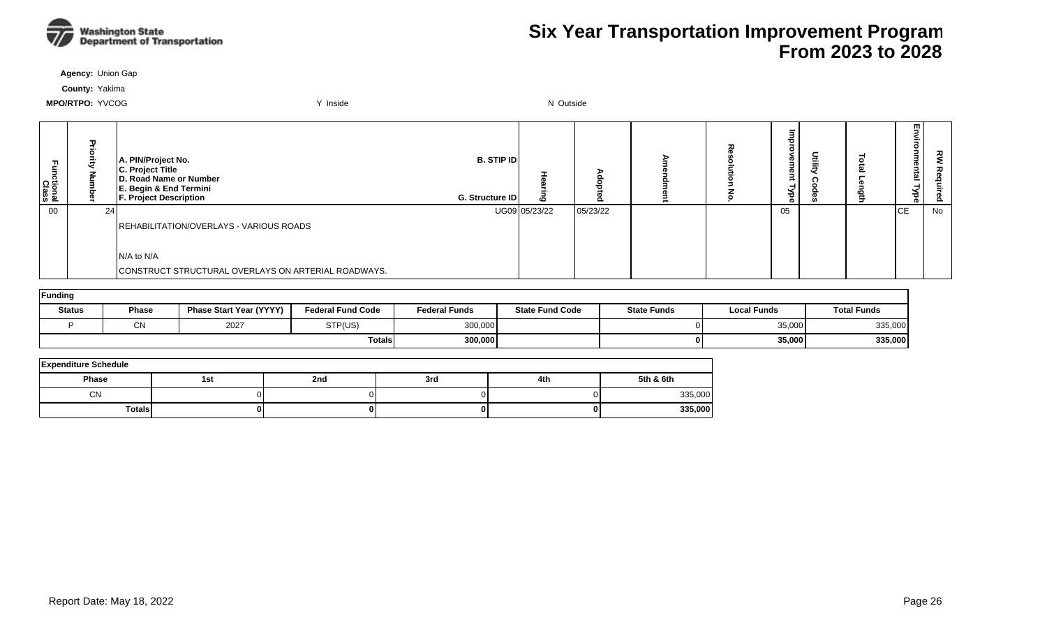

**Agency:** Union Gap

**County:** Yakima

| ctional<br>Class | 고<br>Z     | A. PIN/Project No.<br>C. Project Title<br>D. Road Name or Number<br>E. Begin & End Termini<br>F. Project Description | <b>B. STIP ID</b><br>G. Structure ID | ه             |          |  | ъ<br>∙.<br><b>D</b><br><<br>ढ़ |  | 핗<br>≨.<br>onmental<br>Nbe | 깋  |
|------------------|------------|----------------------------------------------------------------------------------------------------------------------|--------------------------------------|---------------|----------|--|--------------------------------|--|----------------------------|----|
| 00               | <b>241</b> |                                                                                                                      |                                      | UG09 05/23/22 | 05/23/22 |  | 05                             |  | <b>ICE</b>                 | No |
|                  |            | REHABILITATION/OVERLAYS - VARIOUS ROADS                                                                              |                                      |               |          |  |                                |  |                            |    |
|                  |            |                                                                                                                      |                                      |               |          |  |                                |  |                            |    |
|                  |            | N/A to N/A                                                                                                           |                                      |               |          |  |                                |  |                            |    |
|                  |            | CONSTRUCT STRUCTURAL OVERLAYS ON ARTERIAL ROADWAYS.                                                                  |                                      |               |          |  |                                |  |                            |    |

| Funding       |              |                                |                          |                      |                        |                    |                    |                    |  |  |  |
|---------------|--------------|--------------------------------|--------------------------|----------------------|------------------------|--------------------|--------------------|--------------------|--|--|--|
| <b>Status</b> | <b>Phase</b> | <b>Phase Start Year (YYYY)</b> | <b>Federal Fund Code</b> | <b>Federal Funds</b> | <b>State Fund Code</b> | <b>State Funds</b> | <b>Local Funds</b> | <b>Total Funds</b> |  |  |  |
|               | <b>CN</b>    | 2027                           | STP(US)                  | 300,000              |                        |                    | 35,000             | 335,000            |  |  |  |
|               |              |                                | <b>Totals</b>            | 300,000              |                        |                    | 35,000             | 335,000            |  |  |  |

| <b>Expenditure Schedule</b> |     |     |     |     |           |  |  |  |  |  |
|-----------------------------|-----|-----|-----|-----|-----------|--|--|--|--|--|
| Phase                       | 1st | 2nd | 3rd | 4th | 5th & 6th |  |  |  |  |  |
| CN                          |     |     |     |     | 335,000   |  |  |  |  |  |
| Totals                      |     |     |     |     | 335,000   |  |  |  |  |  |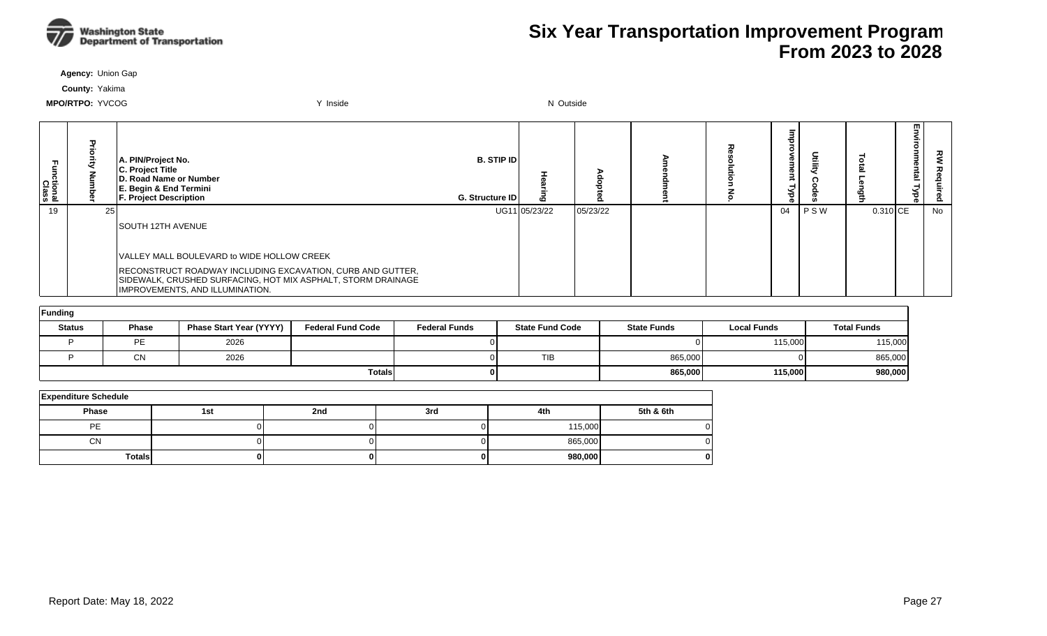

**Agency:** Union Gap

**County:** Yakima

| unctional<br>Class |    | A. PIN/Project No.<br>C. Project Title<br>D. Road Name or Number<br>E. Begin & End Termini<br><b>F. Project Description</b>                                   | <b>B. STIP IDI</b><br>G. Structure ID | 10            | Ο        |  | o<br>Φ<br>Φ<br>ă |     |                        | m<br>m | 丒<br>௨ |
|--------------------|----|---------------------------------------------------------------------------------------------------------------------------------------------------------------|---------------------------------------|---------------|----------|--|------------------|-----|------------------------|--------|--------|
| 19                 | 25 |                                                                                                                                                               |                                       | UG11 05/23/22 | 05/23/22 |  | 04               | PSW | $0.310$ <sub>ICE</sub> |        | No     |
|                    |    | SOUTH 12TH AVENUE                                                                                                                                             |                                       |               |          |  |                  |     |                        |        |        |
|                    |    | VALLEY MALL BOULEVARD to WIDE HOLLOW CREEK                                                                                                                    |                                       |               |          |  |                  |     |                        |        |        |
|                    |    | RECONSTRUCT ROADWAY INCLUDING EXCAVATION, CURB AND GUTTER,<br>SIDEWALK, CRUSHED SURFACING, HOT MIX ASPHALT, STORM DRAINAGE<br>IMPROVEMENTS, AND ILLUMINATION. |                                       |               |          |  |                  |     |                        |        |        |

| Funding       |              |                                |                          |                      |                        |                    |                    |                    |  |  |  |  |
|---------------|--------------|--------------------------------|--------------------------|----------------------|------------------------|--------------------|--------------------|--------------------|--|--|--|--|
| <b>Status</b> | <b>Phase</b> | <b>Phase Start Year (YYYY)</b> | <b>Federal Fund Code</b> | <b>Federal Funds</b> | <b>State Fund Code</b> | <b>State Funds</b> | <b>Local Funds</b> | <b>Total Funds</b> |  |  |  |  |
|               | <b>PF</b>    | 2026                           |                          |                      |                        |                    | 115,000            | 115,000            |  |  |  |  |
|               | $\sim$<br>◡ᡰ | 2026                           |                          |                      | <b>TIB</b>             | 865,000            |                    | 865,000            |  |  |  |  |
|               |              |                                | <b>Totals</b>            |                      |                        | 865,000            | 115,000            | 980,000            |  |  |  |  |

| <b>Expenditure Schedule</b> |     |     |     |         |           |  |  |  |  |  |  |
|-----------------------------|-----|-----|-----|---------|-----------|--|--|--|--|--|--|
| <b>Phase</b>                | 1st | 2nd | 3rd | 4th     | 5th & 6th |  |  |  |  |  |  |
| PE                          |     |     |     | 115,000 |           |  |  |  |  |  |  |
| <b>CN</b>                   |     |     |     | 865,000 |           |  |  |  |  |  |  |
| <b>Totals</b>               |     |     |     | 980,000 |           |  |  |  |  |  |  |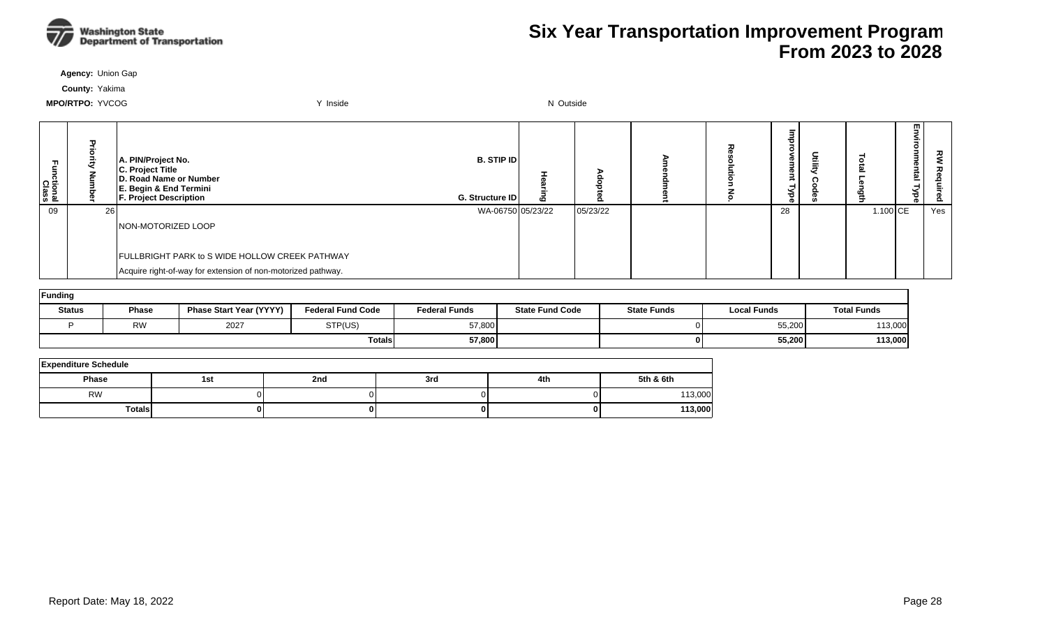

**Agency:** Union Gap

**County:** Yakima

| ctional<br>Class | τ<br>គ<br>ā<br>Š | A. PIN/Project No.<br>C. Project Title<br><b>D. Road Name or Number</b><br><b>E. Begin &amp; End Termini</b><br><b>F. Project Description</b> | <b>B. STIP ID</b><br>G. Structure ID | ه |          |  | ᄒ<br>ዊ<br>ൈ<br>≫. |            | 핗<br>vironmental<br>ੱਚ<br><b>D</b> | ᅍ   |
|------------------|------------------|-----------------------------------------------------------------------------------------------------------------------------------------------|--------------------------------------|---|----------|--|-------------------|------------|------------------------------------|-----|
| 09               | 26               |                                                                                                                                               | WA-06750 05/23/22                    |   | 05/23/22 |  | 28                | $1.100$ CE |                                    | Yes |
|                  |                  | NON-MOTORIZED LOOP                                                                                                                            |                                      |   |          |  |                   |            |                                    |     |
|                  |                  |                                                                                                                                               |                                      |   |          |  |                   |            |                                    |     |
|                  |                  | FULLBRIGHT PARK to S WIDE HOLLOW CREEK PATHWAY                                                                                                |                                      |   |          |  |                   |            |                                    |     |
|                  |                  | Acquire right-of-way for extension of non-motorized pathway.                                                                                  |                                      |   |          |  |                   |            |                                    |     |

| Funding       |              |                                |                          |                      |                        |                    |                    |                    |  |  |  |  |
|---------------|--------------|--------------------------------|--------------------------|----------------------|------------------------|--------------------|--------------------|--------------------|--|--|--|--|
| <b>Status</b> | <b>Phase</b> | <b>Phase Start Year (YYYY)</b> | <b>Federal Fund Code</b> | <b>Federal Funds</b> | <b>State Fund Code</b> | <b>State Funds</b> | <b>Local Funds</b> | <b>Total Funds</b> |  |  |  |  |
|               | <b>RW</b>    | 2027                           | STP(US)                  | 57,800               |                        |                    | 55,200             | 113,000            |  |  |  |  |
|               |              |                                | Totals                   | 57,800               |                        |                    | 55,200             | 113,000            |  |  |  |  |

| <b>Expenditure Schedule</b> |     |     |     |     |           |  |  |  |  |  |
|-----------------------------|-----|-----|-----|-----|-----------|--|--|--|--|--|
| <b>Phase</b>                | 1st | 2nd | 3rd | 4th | 5th & 6th |  |  |  |  |  |
| <b>RW</b>                   |     |     |     |     | 113,000   |  |  |  |  |  |
| <b>Totals</b>               |     | 0   |     |     | 113,000   |  |  |  |  |  |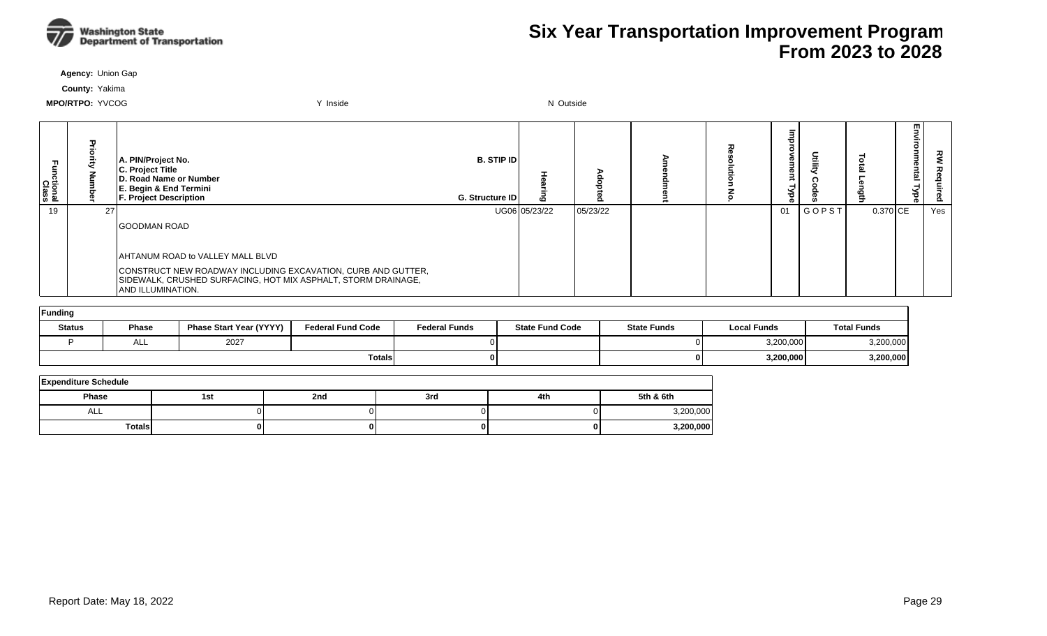

**Agency:** Union Gap

**County:** Yakima

| ctional<br>Class |    | A. PIN/Project No.<br>C. Project Title<br>D. Road Name or Number<br>E. Begin & End Termini<br><b>F. Project Description</b>                               | <b>B. STIP ID</b><br>G. Structure ID |               |          |  | Φ<br>P<br>ರ<br>ൈ | Ē            |          | m | ᇰ<br>௨ |
|------------------|----|-----------------------------------------------------------------------------------------------------------------------------------------------------------|--------------------------------------|---------------|----------|--|------------------|--------------|----------|---|--------|
| 19               | 27 |                                                                                                                                                           |                                      | UG06 05/23/22 | 05/23/22 |  | 01               | <b>GOPST</b> | 0.370 CE |   | Yes    |
|                  |    | <b>IGOODMAN ROAD</b>                                                                                                                                      |                                      |               |          |  |                  |              |          |   |        |
|                  |    | AHTANUM ROAD to VALLEY MALL BLVD                                                                                                                          |                                      |               |          |  |                  |              |          |   |        |
|                  |    | CONSTRUCT NEW ROADWAY INCLUDING EXCAVATION, CURB AND GUTTER,<br>SIDEWALK, CRUSHED SURFACING, HOT MIX ASPHALT, STORM DRAINAGE,<br><b>AND ILLUMINATION.</b> |                                      |               |          |  |                  |              |          |   |        |

| <b>Funding</b> |              |                                |                          |                      |                        |                    |                    |                    |  |  |  |  |
|----------------|--------------|--------------------------------|--------------------------|----------------------|------------------------|--------------------|--------------------|--------------------|--|--|--|--|
| <b>Status</b>  | <b>Phase</b> | <b>Phase Start Year (YYYY)</b> | <b>Federal Fund Code</b> | <b>Federal Funds</b> | <b>State Fund Code</b> | <b>State Funds</b> | <b>Local Funds</b> | <b>Total Funds</b> |  |  |  |  |
|                | ─            | 2027                           |                          |                      |                        |                    | 3,200,000          | 3,200,000          |  |  |  |  |
|                |              |                                | <b>Totals</b>            |                      |                        |                    | 3,200,000          | 3,200,000          |  |  |  |  |

| <b>Expenditure Schedule</b> |     |     |     |     |           |  |  |  |  |  |  |
|-----------------------------|-----|-----|-----|-----|-----------|--|--|--|--|--|--|
| <b>Phase</b>                | 1st | 2nd | 3rd | 4th | 5th & 6th |  |  |  |  |  |  |
| ALL                         |     |     |     |     | 3,200,000 |  |  |  |  |  |  |
| <b>Totals</b>               |     | o   |     |     | 3,200,000 |  |  |  |  |  |  |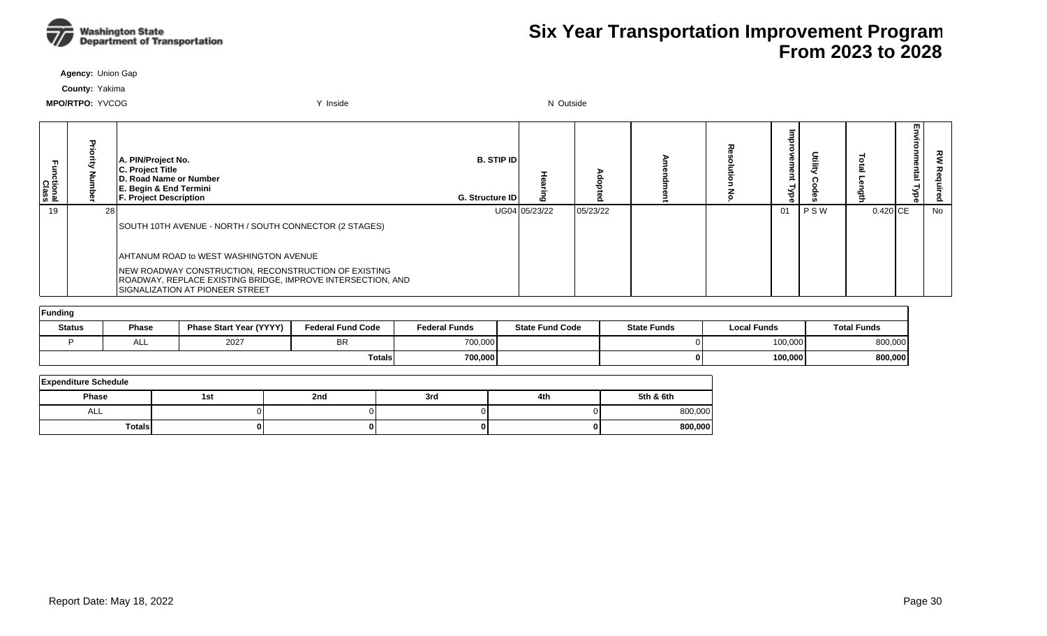

**Agency:** Union Gap

**County:** Yakima

| :tional<br>Class |      | A. PIN/Project No.<br>C. Project Title<br>D. Road Name or Number<br>E. Begin & End Termini<br><b>F. Project Description</b>                                    | <b>B.</b> STIP ID<br>G. Structure ID | ഥ             |          |  | መ<br>ಕ<br>ൈ |     |            | 핅<br>onmental<br><b>Type</b> | 킿<br>Requ<br>Бq |
|------------------|------|----------------------------------------------------------------------------------------------------------------------------------------------------------------|--------------------------------------|---------------|----------|--|-------------|-----|------------|------------------------------|-----------------|
| 19               | 28 l |                                                                                                                                                                |                                      | UG04 05/23/22 | 05/23/22 |  | 01          | PSW | $0.420$ CE |                              | No              |
|                  |      | SOUTH 10TH AVENUE - NORTH / SOUTH CONNECTOR (2 STAGES)                                                                                                         |                                      |               |          |  |             |     |            |                              |                 |
|                  |      | AHTANUM ROAD to WEST WASHINGTON AVENUE                                                                                                                         |                                      |               |          |  |             |     |            |                              |                 |
|                  |      | <b>INEW ROADWAY CONSTRUCTION, RECONSTRUCTION OF EXISTING</b><br>ROADWAY, REPLACE EXISTING BRIDGE, IMPROVE INTERSECTION, AND<br>SIGNALIZATION AT PIONEER STREET |                                      |               |          |  |             |     |            |                              |                 |
| الممتلومين والرا |      |                                                                                                                                                                |                                      |               |          |  |             |     |            |                              |                 |

| ∣Funding      |              |                                |                          |                      |                        |                    |                    |                    |  |  |  |  |
|---------------|--------------|--------------------------------|--------------------------|----------------------|------------------------|--------------------|--------------------|--------------------|--|--|--|--|
| <b>Status</b> | <b>Phase</b> | <b>Phase Start Year (YYYY)</b> | <b>Federal Fund Code</b> | <b>Federal Funds</b> | <b>State Fund Code</b> | <b>State Funds</b> | <b>Local Funds</b> | <b>Total Funds</b> |  |  |  |  |
|               | AL.          | 2027                           | BR                       | 700,000              |                        |                    | 100,000            | 800,000            |  |  |  |  |
|               |              |                                | Totals                   | 700,000              |                        | 01                 | 100,000            | 800,000            |  |  |  |  |

| <b>Expenditure Schedule</b> |     |     |     |     |           |  |  |  |  |  |  |
|-----------------------------|-----|-----|-----|-----|-----------|--|--|--|--|--|--|
| Phase                       | 1st | 2nd | 3rd | 4th | 5th & 6th |  |  |  |  |  |  |
| <b>ALL</b>                  |     |     |     |     | 800,000   |  |  |  |  |  |  |
| <b>Totals</b>               |     |     |     |     | 800,000   |  |  |  |  |  |  |